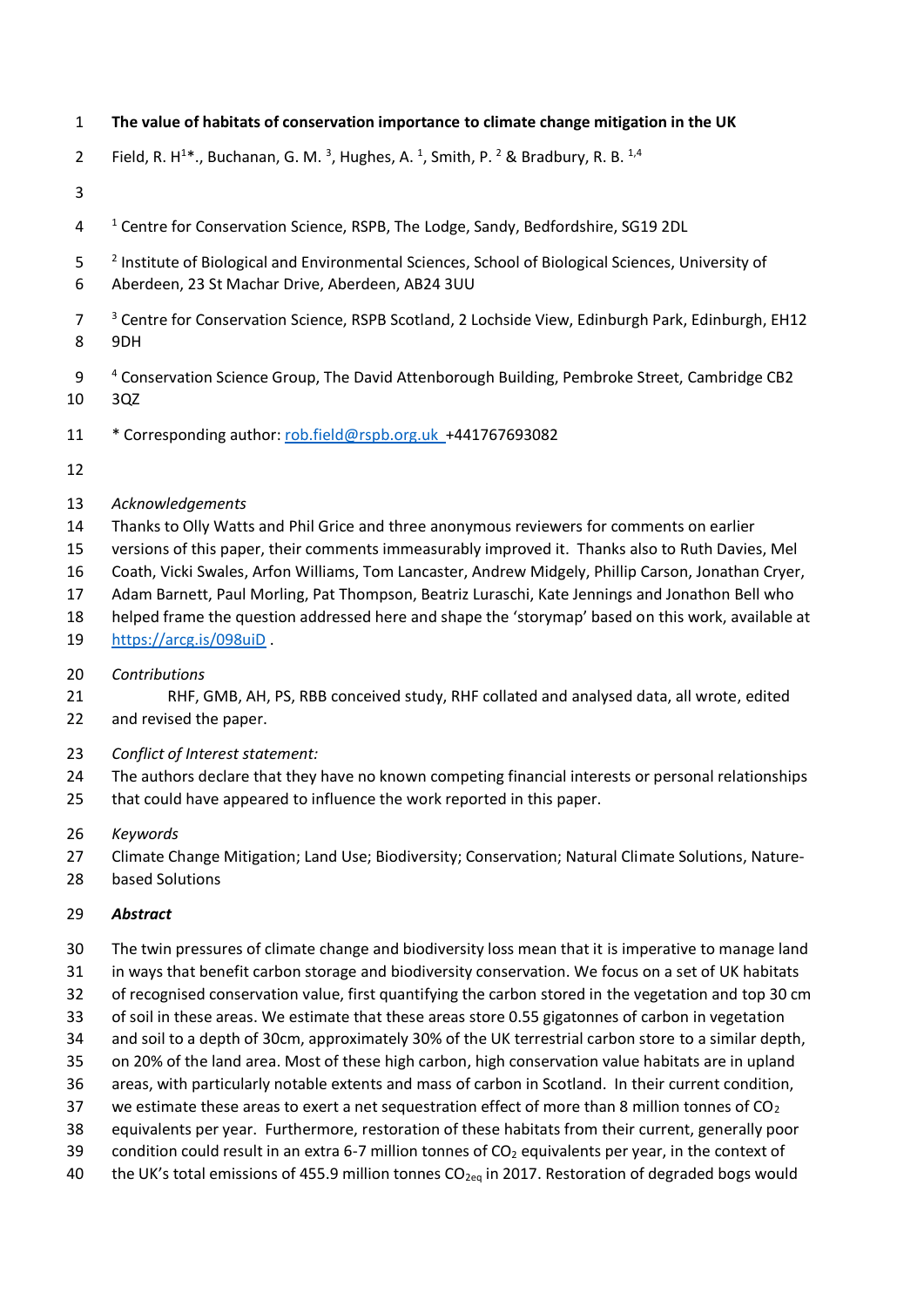- **The value of habitats of conservation importance to climate change mitigation in the UK**
- 2 Field, R. H<sup>1\*</sup>., Buchanan, G. M.<sup>3</sup>, Hughes, A.<sup>1</sup>, Smith, P.<sup>2</sup> & Bradbury, R. B.<sup>1,4</sup>
- 
- <sup>1</sup> Centre for Conservation Science, RSPB, The Lodge, Sandy, Bedfordshire, SG19 2DL
- 5 <sup>2</sup> Institute of Biological and Environmental Sciences, School of Biological Sciences, University of
- Aberdeen, 23 St Machar Drive, Aberdeen, AB24 3UU
- <sup>3</sup> Centre for Conservation Science, RSPB Scotland, 2 Lochside View, Edinburgh Park, Edinburgh, EH12
- 9DH
- <sup>4</sup> Conservation Science Group, The David Attenborough Building, Pembroke Street, Cambridge CB2 3QZ
- \* Corresponding author: [rob.field@rspb.org.uk](mailto:rob.field@rspb.org.uk) +441767693082
- 

### *Acknowledgements*

- Thanks to Olly Watts and Phil Grice and three anonymous reviewers for comments on earlier
- versions of this paper, their comments immeasurably improved it. Thanks also to Ruth Davies, Mel
- Coath, Vicki Swales, Arfon Williams, Tom Lancaster, Andrew Midgely, Phillip Carson, Jonathan Cryer,
- Adam Barnett, Paul Morling, Pat Thompson, Beatriz Luraschi, Kate Jennings and Jonathon Bell who
- helped frame the question addressed here and shape the 'storymap' based on this work, available at
- <https://arcg.is/098uiD> .
- *Contributions*
- RHF, GMB, AH, PS, RBB conceived study, RHF collated and analysed data, all wrote, edited and revised the paper.
- *Conflict of Interest statement:*
- The authors declare that they have no known competing financial interests or personal relationships
- that could have appeared to influence the work reported in this paper.
- *Keywords*
- Climate Change Mitigation; Land Use; Biodiversity; Conservation; Natural Climate Solutions, Nature-
- based Solutions

### *Abstract*

- The twin pressures of climate change and biodiversity loss mean that it is imperative to manage land
- in ways that benefit carbon storage and biodiversity conservation. We focus on a set of UK habitats
- of recognised conservation value, first quantifying the carbon stored in the vegetation and top 30 cm
- of soil in these areas. We estimate that these areas store 0.55 gigatonnes of carbon in vegetation
- and soil to a depth of 30cm, approximately 30% of the UK terrestrial carbon store to a similar depth,
- on 20% of the land area. Most of these high carbon, high conservation value habitats are in upland
- areas, with particularly notable extents and mass of carbon in Scotland. In their current condition,
- 37 we estimate these areas to exert a net sequestration effect of more than 8 million tonnes of  $CO<sub>2</sub>$
- equivalents per year. Furthermore, restoration of these habitats from their current, generally poor 39 condition could result in an extra 6-7 million tonnes of  $CO<sub>2</sub>$  equivalents per year, in the context of
- 40 the UK's total emissions of 455.9 million tonnes  $CO_{2eq}$  in 2017. Restoration of degraded bogs would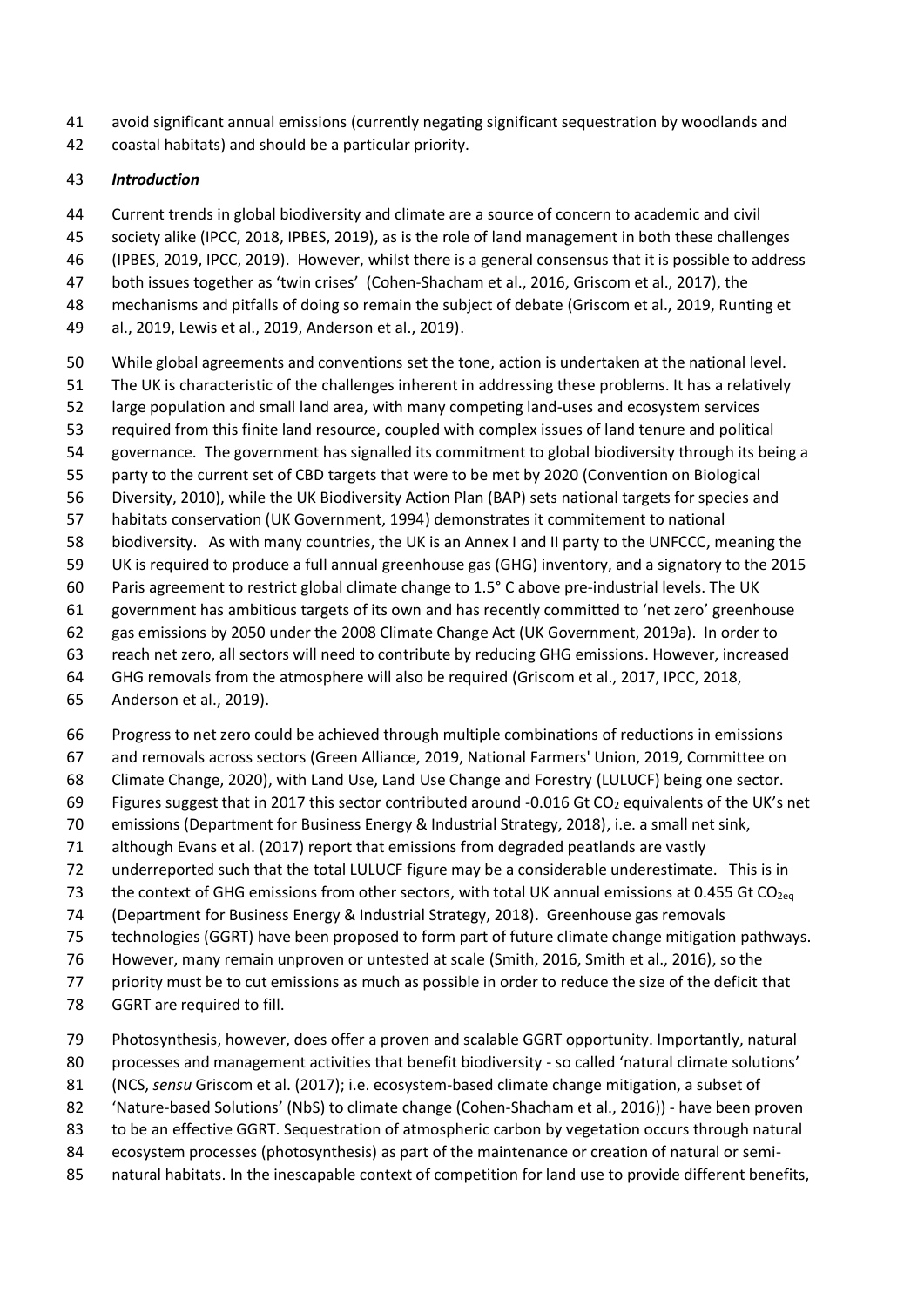- avoid significant annual emissions (currently negating significant sequestration by woodlands and
- coastal habitats) and should be a particular priority.

#### *Introduction*

- Current trends in global biodiversity and climate are a source of concern to academic and civil
- society alike (IPCC, 2018, IPBES, 2019), as is the role of land management in both these challenges
- (IPBES, 2019, IPCC, 2019). However, whilst there is a general consensus that it is possible to address
- both issues together as 'twin crises' (Cohen-Shacham et al., 2016, Griscom et al., 2017), the
- mechanisms and pitfalls of doing so remain the subject of debate (Griscom et al., 2019, Runting et
- al., 2019, Lewis et al., 2019, Anderson et al., 2019).
- While global agreements and conventions set the tone, action is undertaken at the national level.
- The UK is characteristic of the challenges inherent in addressing these problems. It has a relatively
- large population and small land area, with many competing land-uses and ecosystem services
- required from this finite land resource, coupled with complex issues of land tenure and political
- governance. The government has signalled its commitment to global biodiversity through its being a
- party to the current set of CBD targets that were to be met by 2020 (Convention on Biological
- Diversity, 2010), while the UK Biodiversity Action Plan (BAP) sets national targets for species and
- habitats conservation (UK Government, 1994) demonstrates it commitement to national
- biodiversity. As with many countries, the UK is an Annex I and II party to the UNFCCC, meaning the
- UK is required to produce a full annual greenhouse gas (GHG) inventory, and a signatory to the 2015
- Paris agreement to restrict global climate change to 1.5° C above pre-industrial levels. The UK
- government has ambitious targets of its own and has recently committed to 'net zero' greenhouse
- gas emissions by 2050 under the 2008 Climate Change Act (UK Government, 2019a). In order to
- reach net zero, all sectors will need to contribute by reducing GHG emissions. However, increased
- GHG removals from the atmosphere will also be required (Griscom et al., 2017, IPCC, 2018,
- Anderson et al., 2019).
- Progress to net zero could be achieved through multiple combinations of reductions in emissions
- and removals across sectors (Green Alliance, 2019, National Farmers' Union, 2019, Committee on
- Climate Change, 2020), with Land Use, Land Use Change and Forestry (LULUCF) being one sector.
- 69 Figures suggest that in 2017 this sector contributed around -0.016 Gt  $CO<sub>2</sub>$  equivalents of the UK's net
- emissions (Department for Business Energy & Industrial Strategy, 2018), i.e. a small net sink,
- although Evans et al. (2017) report that emissions from degraded peatlands are vastly
- underreported such that the total LULUCF figure may be a considerable underestimate. This is in
- 73 the context of GHG emissions from other sectors, with total UK annual emissions at 0.455 Gt CO<sub>2eq</sub>
- (Department for Business Energy & Industrial Strategy, 2018). Greenhouse gas removals
- technologies (GGRT) have been proposed to form part of future climate change mitigation pathways.
- However, many remain unproven or untested at scale (Smith, 2016, Smith et al., 2016), so the
- priority must be to cut emissions as much as possible in order to reduce the size of the deficit that
- GGRT are required to fill.
- Photosynthesis, however, does offer a proven and scalable GGRT opportunity. Importantly, natural
- processes and management activities that benefit biodiversity so called 'natural climate solutions'
- (NCS, *sensu* Griscom et al. (2017); i.e. ecosystem-based climate change mitigation, a subset of
- 'Nature-based Solutions' (NbS) to climate change (Cohen-Shacham et al., 2016)) have been proven
- to be an effective GGRT. Sequestration of atmospheric carbon by vegetation occurs through natural
- ecosystem processes (photosynthesis) as part of the maintenance or creation of natural or semi-
- natural habitats. In the inescapable context of competition for land use to provide different benefits,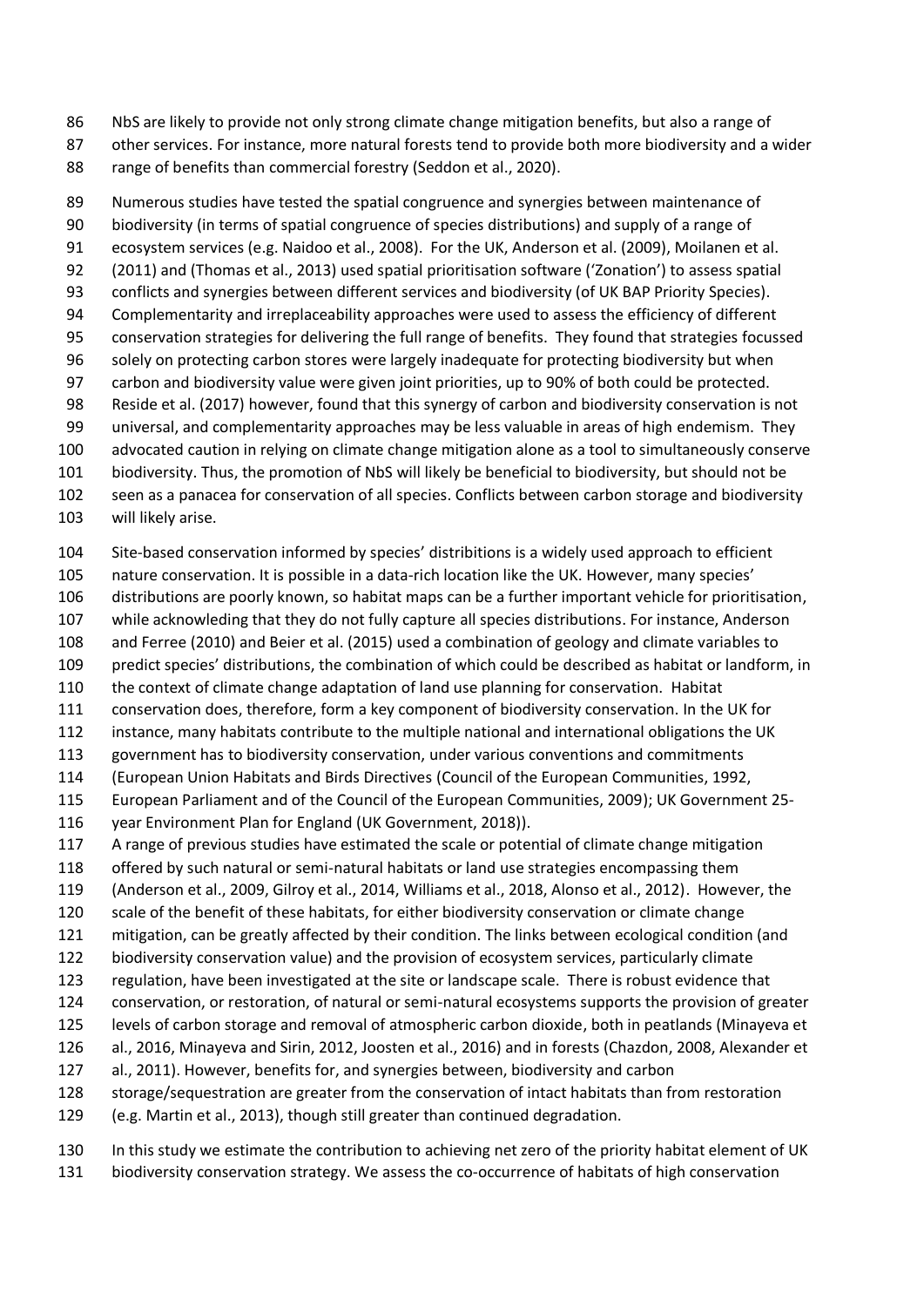NbS are likely to provide not only strong climate change mitigation benefits, but also a range of

- other services. For instance, more natural forests tend to provide both more biodiversity and a wider
- 88 range of benefits than commercial forestry (Seddon et al., 2020).

 Numerous studies have tested the spatial congruence and synergies between maintenance of biodiversity (in terms of spatial congruence of species distributions) and supply of a range of ecosystem services (e.g. Naidoo et al., 2008). For the UK, Anderson et al. (2009), Moilanen et al. (2011) and (Thomas et al., 2013) used spatial prioritisation software ('Zonation') to assess spatial conflicts and synergies between different services and biodiversity (of UK BAP Priority Species). Complementarity and irreplaceability approaches were used to assess the efficiency of different conservation strategies for delivering the full range of benefits. They found that strategies focussed solely on protecting carbon stores were largely inadequate for protecting biodiversity but when carbon and biodiversity value were given joint priorities, up to 90% of both could be protected. Reside et al. (2017) however, found that this synergy of carbon and biodiversity conservation is not universal, and complementarity approaches may be less valuable in areas of high endemism. They advocated caution in relying on climate change mitigation alone as a tool to simultaneously conserve biodiversity. Thus, the promotion of NbS will likely be beneficial to biodiversity, but should not be seen as a panacea for conservation of all species. Conflicts between carbon storage and biodiversity

will likely arise.

Site-based conservation informed by species' distribitions is a widely used approach to efficient

- nature conservation. It is possible in a data-rich location like the UK. However, many species'
- distributions are poorly known, so habitat maps can be a further important vehicle for prioritisation,
- while acknowleding that they do not fully capture all species distributions. For instance, Anderson
- and Ferree (2010) and Beier et al. (2015) used a combination of geology and climate variables to
- predict species' distributions, the combination of which could be described as habitat or landform, in
- the context of climate change adaptation of land use planning for conservation. Habitat
- conservation does, therefore, form a key component of biodiversity conservation. In the UK for
- instance, many habitats contribute to the multiple national and international obligations the UK
- government has to biodiversity conservation, under various conventions and commitments
- (European Union Habitats and Birds Directives (Council of the European Communities, 1992,
- European Parliament and of the Council of the European Communities, 2009); UK Government 25- year Environment Plan for England (UK Government, 2018)).
- 
- A range of previous studies have estimated the scale or potential of climate change mitigation
- offered by such natural or semi-natural habitats or land use strategies encompassing them
- (Anderson et al., 2009, Gilroy et al., 2014, Williams et al., 2018, Alonso et al., 2012). However, the
- scale of the benefit of these habitats, for either biodiversity conservation or climate change
- mitigation, can be greatly affected by their condition. The links between ecological condition (and
- biodiversity conservation value) and the provision of ecosystem services, particularly climate
- regulation, have been investigated at the site or landscape scale. There is robust evidence that
- conservation, or restoration, of natural or semi-natural ecosystems supports the provision of greater
- levels of carbon storage and removal of atmospheric carbon dioxide, both in peatlands (Minayeva et al., 2016, Minayeva and Sirin, 2012, Joosten et al., 2016) and in forests (Chazdon, 2008, Alexander et
- al., 2011). However, benefits for, and synergies between, biodiversity and carbon
- storage/sequestration are greater from the conservation of intact habitats than from restoration
- (e.g. Martin et al., 2013), though still greater than continued degradation.
- In this study we estimate the contribution to achieving net zero of the priority habitat element of UK biodiversity conservation strategy. We assess the co-occurrence of habitats of high conservation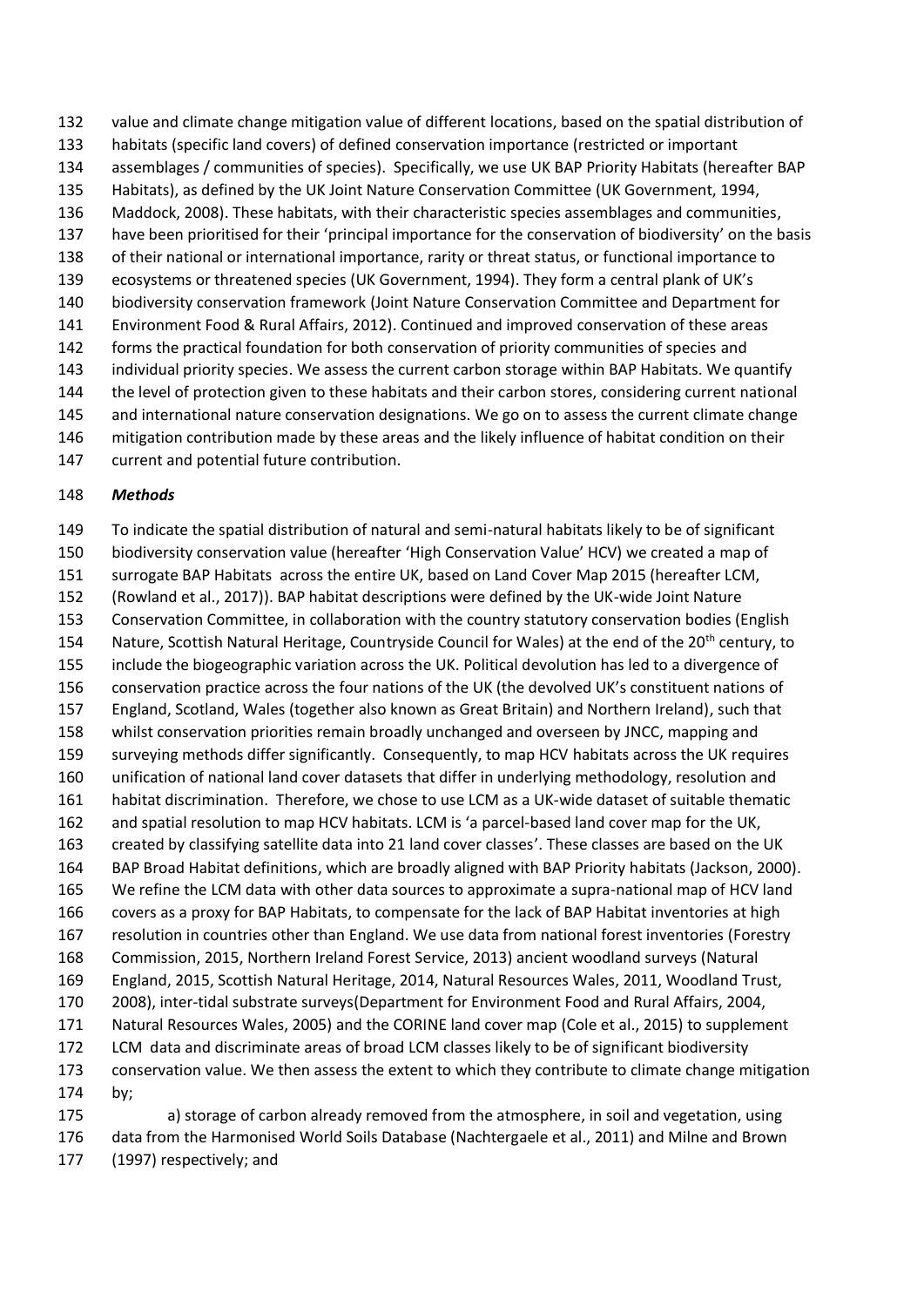habitats (specific land covers) of defined conservation importance (restricted or important assemblages / communities of species). Specifically, we use UK BAP Priority Habitats (hereafter BAP Habitats), as defined by the UK Joint Nature Conservation Committee (UK Government, 1994, Maddock, 2008). These habitats, with their characteristic species assemblages and communities, have been prioritised for their 'principal importance for the conservation of biodiversity' on the basis of their national or international importance, rarity or threat status, or functional importance to ecosystems or threatened species (UK Government, 1994). They form a central plank of UK's biodiversity conservation framework (Joint Nature Conservation Committee and Department for Environment Food & Rural Affairs, 2012). Continued and improved conservation of these areas forms the practical foundation for both conservation of priority communities of species and individual priority species. We assess the current carbon storage within BAP Habitats. We quantify

value and climate change mitigation value of different locations, based on the spatial distribution of

- the level of protection given to these habitats and their carbon stores, considering current national
- and international nature conservation designations. We go on to assess the current climate change
- mitigation contribution made by these areas and the likely influence of habitat condition on their
- current and potential future contribution.

### *Methods*

 To indicate the spatial distribution of natural and semi-natural habitats likely to be of significant biodiversity conservation value (hereafter 'High Conservation Value' HCV) we created a map of surrogate BAP Habitats across the entire UK, based on Land Cover Map 2015 (hereafter LCM, (Rowland et al., 2017)). BAP habitat descriptions were defined by the UK-wide Joint Nature Conservation Committee, in collaboration with the country statutory conservation bodies (English 154 Nature, Scottish Natural Heritage, Countryside Council for Wales) at the end of the 20<sup>th</sup> century, to include the biogeographic variation across the UK. Political devolution has led to a divergence of conservation practice across the four nations of the UK (the devolved UK's constituent nations of England, Scotland, Wales (together also known as Great Britain) and Northern Ireland), such that whilst conservation priorities remain broadly unchanged and overseen by JNCC, mapping and surveying methods differ significantly. Consequently, to map HCV habitats across the UK requires unification of national land cover datasets that differ in underlying methodology, resolution and habitat discrimination. Therefore, we chose to use LCM as a UK-wide dataset of suitable thematic and spatial resolution to map HCV habitats. LCM is 'a parcel-based land cover map for the UK, created by classifying satellite data into 21 land cover classes'. These classes are based on the UK BAP Broad Habitat definitions, which are broadly aligned with BAP Priority habitats (Jackson, 2000). We refine the LCM data with other data sources to approximate a supra-national map of HCV land covers as a proxy for BAP Habitats, to compensate for the lack of BAP Habitat inventories at high resolution in countries other than England. We use data from national forest inventories (Forestry Commission, 2015, Northern Ireland Forest Service, 2013) ancient woodland surveys (Natural England, 2015, Scottish Natural Heritage, 2014, Natural Resources Wales, 2011, Woodland Trust, 2008), inter-tidal substrate surveys(Department for Environment Food and Rural Affairs, 2004, Natural Resources Wales, 2005) and the CORINE land cover map (Cole et al., 2015) to supplement LCM data and discriminate areas of broad LCM classes likely to be of significant biodiversity conservation value. We then assess the extent to which they contribute to climate change mitigation by;

 a) storage of carbon already removed from the atmosphere, in soil and vegetation, using data from the Harmonised World Soils Database (Nachtergaele et al., 2011) and Milne and Brown (1997) respectively; and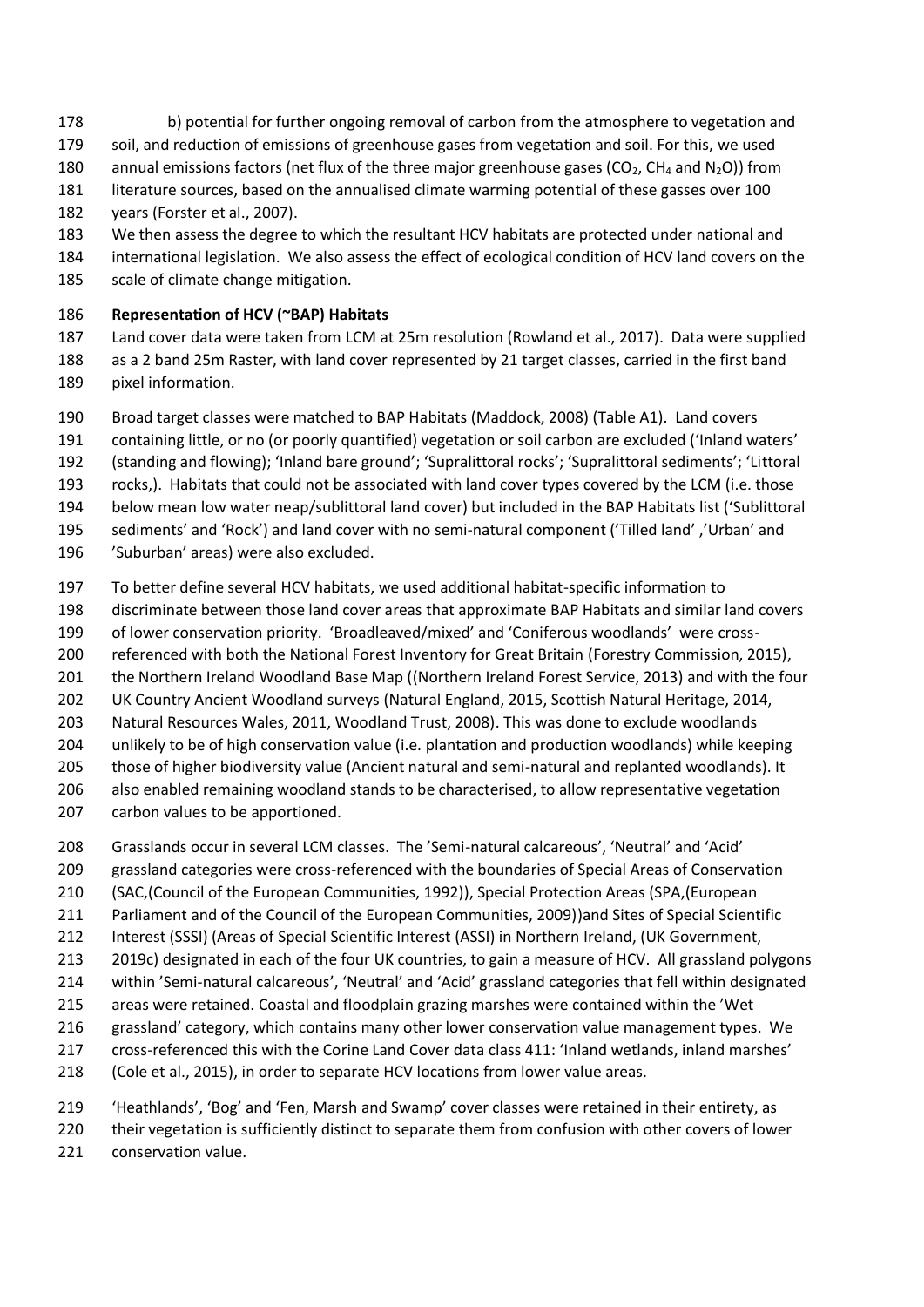- 178 b) potential for further ongoing removal of carbon from the atmosphere to vegetation and
- soil, and reduction of emissions of greenhouse gases from vegetation and soil. For this, we used
- 180 annual emissions factors (net flux of the three major greenhouse gases ( $CO<sub>2</sub>$ , CH<sub>4</sub> and N<sub>2</sub>O)) from
- literature sources, based on the annualised climate warming potential of these gasses over 100
- years (Forster et al., 2007).
- We then assess the degree to which the resultant HCV habitats are protected under national and
- international legislation. We also assess the effect of ecological condition of HCV land covers on the
- scale of climate change mitigation.

# **Representation of HCV (~BAP) Habitats**

- Land cover data were taken from LCM at 25m resolution (Rowland et al., 2017). Data were supplied
- as a 2 band 25m Raster, with land cover represented by 21 target classes, carried in the first band pixel information.
- Broad target classes were matched to BAP Habitats (Maddock, 2008) (Table A1). Land covers
- containing little, or no (or poorly quantified) vegetation or soil carbon are excluded ('Inland waters'
- (standing and flowing); 'Inland bare ground'; 'Supralittoral rocks'; 'Supralittoral sediments'; 'Littoral
- rocks,). Habitats that could not be associated with land cover types covered by the LCM (i.e. those
- below mean low water neap/sublittoral land cover) but included in the BAP Habitats list ('Sublittoral
- sediments' and 'Rock') and land cover with no semi-natural component ('Tilled land' ,'Urban' and
- 'Suburban' areas) were also excluded.
- To better define several HCV habitats, we used additional habitat-specific information to
- discriminate between those land cover areas that approximate BAP Habitats and similar land covers
- of lower conservation priority. 'Broadleaved/mixed' and 'Coniferous woodlands' were cross-
- referenced with both the National Forest Inventory for Great Britain (Forestry Commission, 2015),
- the Northern Ireland Woodland Base Map ((Northern Ireland Forest Service, 2013) and with the four
- UK Country Ancient Woodland surveys (Natural England, 2015, Scottish Natural Heritage, 2014,
- Natural Resources Wales, 2011, Woodland Trust, 2008). This was done to exclude woodlands
- unlikely to be of high conservation value (i.e. plantation and production woodlands) while keeping
- those of higher biodiversity value (Ancient natural and semi-natural and replanted woodlands). It also enabled remaining woodland stands to be characterised, to allow representative vegetation
- carbon values to be apportioned.
- Grasslands occur in several LCM classes. The 'Semi-natural calcareous', 'Neutral' and 'Acid'
- grassland categories were cross-referenced with the boundaries of Special Areas of Conservation
- (SAC,(Council of the European Communities, 1992)), Special Protection Areas (SPA,(European
- Parliament and of the Council of the European Communities, 2009))and Sites of Special Scientific
- Interest (SSSI) (Areas of Special Scientific Interest (ASSI) in Northern Ireland, (UK Government,
- 2019c) designated in each of the four UK countries, to gain a measure of HCV. All grassland polygons
- within 'Semi-natural calcareous', 'Neutral' and 'Acid' grassland categories that fell within designated
- areas were retained. Coastal and floodplain grazing marshes were contained within the 'Wet
- grassland' category, which contains many other lower conservation value management types. We
- cross-referenced this with the Corine Land Cover data class 411: 'Inland wetlands, inland marshes'
- (Cole et al., 2015), in order to separate HCV locations from lower value areas.
- 'Heathlands', 'Bog' and 'Fen, Marsh and Swamp' cover classes were retained in their entirety, as
- their vegetation is sufficiently distinct to separate them from confusion with other covers of lower
- conservation value.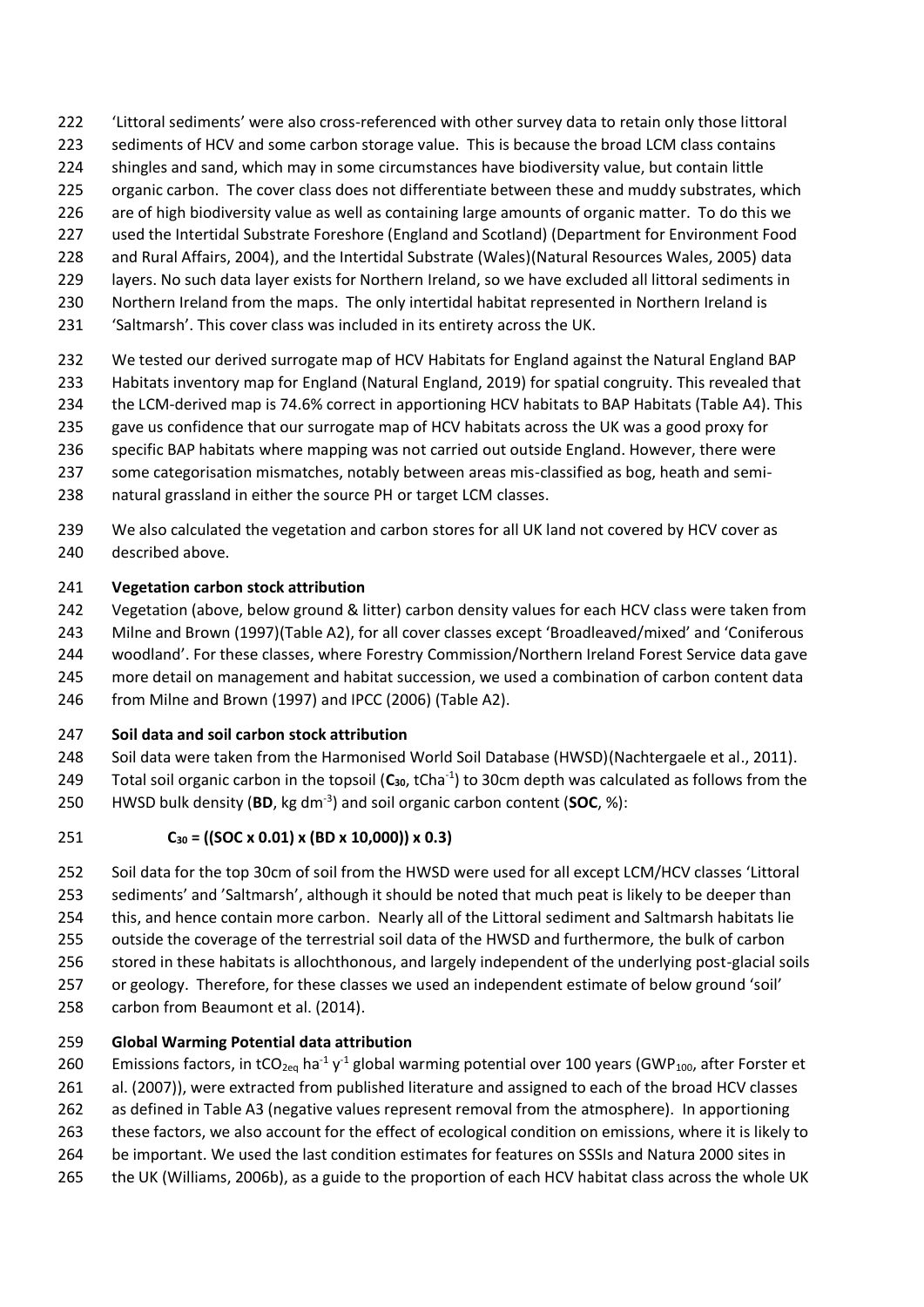- 'Littoral sediments' were also cross-referenced with other survey data to retain only those littoral
- 223 sediments of HCV and some carbon storage value. This is because the broad LCM class contains
- shingles and sand, which may in some circumstances have biodiversity value, but contain little
- organic carbon. The cover class does not differentiate between these and muddy substrates, which
- are of high biodiversity value as well as containing large amounts of organic matter. To do this we
- used the Intertidal Substrate Foreshore (England and Scotland) (Department for Environment Food and Rural Affairs, 2004), and the Intertidal Substrate (Wales)(Natural Resources Wales, 2005) data
- layers. No such data layer exists for Northern Ireland, so we have excluded all littoral sediments in
- Northern Ireland from the maps. The only intertidal habitat represented in Northern Ireland is
- 'Saltmarsh'. This cover class was included in its entirety across the UK.
- We tested our derived surrogate map of HCV Habitats for England against the Natural England BAP
- Habitats inventory map for England (Natural England, 2019) for spatial congruity. This revealed that
- the LCM-derived map is 74.6% correct in apportioning HCV habitats to BAP Habitats (Table A4). This
- gave us confidence that our surrogate map of HCV habitats across the UK was a good proxy for
- specific BAP habitats where mapping was not carried out outside England. However, there were
- some categorisation mismatches, notably between areas mis-classified as bog, heath and semi-
- natural grassland in either the source PH or target LCM classes.
- 239 We also calculated the vegetation and carbon stores for all UK land not covered by HCV cover as described above.

### **Vegetation carbon stock attribution**

- Vegetation (above, below ground & litter) carbon density values for each HCV class were taken from
- Milne and Brown (1997)(Table A2), for all cover classes except 'Broadleaved/mixed' and 'Coniferous
- woodland'. For these classes, where Forestry Commission/Northern Ireland Forest Service data gave
- more detail on management and habitat succession, we used a combination of carbon content data
- from Milne and Brown (1997) and IPCC (2006) (Table A2).

# **Soil data and soil carbon stock attribution**

- Soil data were taken from the Harmonised World Soil Database (HWSD)(Nachtergaele et al., 2011).
- Total soil organic carbon in the topsoil (**C30**, tCha-1 ) to 30cm depth was calculated as follows from the
- 250 HWSD bulk density (BD, kg dm<sup>-3</sup>) and soil organic carbon content (SOC, %):

# **C<sup>30</sup> = ((SOC x 0.01) x (BD x 10,000)) x 0.3)**

- Soil data for the top 30cm of soil from the HWSD were used for all except LCM/HCV classes 'Littoral sediments' and 'Saltmarsh', although it should be noted that much peat is likely to be deeper than
- this, and hence contain more carbon. Nearly all of the Littoral sediment and Saltmarsh habitats lie
- outside the coverage of the terrestrial soil data of the HWSD and furthermore, the bulk of carbon
- stored in these habitats is allochthonous, and largely independent of the underlying post-glacial soils
- or geology. Therefore, for these classes we used an independent estimate of below ground 'soil'
- carbon from Beaumont et al. (2014).

# **Global Warming Potential data attribution**

- 260 Emissions factors, in tCO<sub>2eq</sub> ha<sup>-1</sup> y<sup>-1</sup> global warming potential over 100 years (GWP<sub>100</sub>, after Forster et
- al. (2007)), were extracted from published literature and assigned to each of the broad HCV classes
- as defined in Table A3 (negative values represent removal from the atmosphere). In apportioning
- these factors, we also account for the effect of ecological condition on emissions, where it is likely to
- be important. We used the last condition estimates for features on SSSIs and Natura 2000 sites in
- the UK (Williams, 2006b), as a guide to the proportion of each HCV habitat class across the whole UK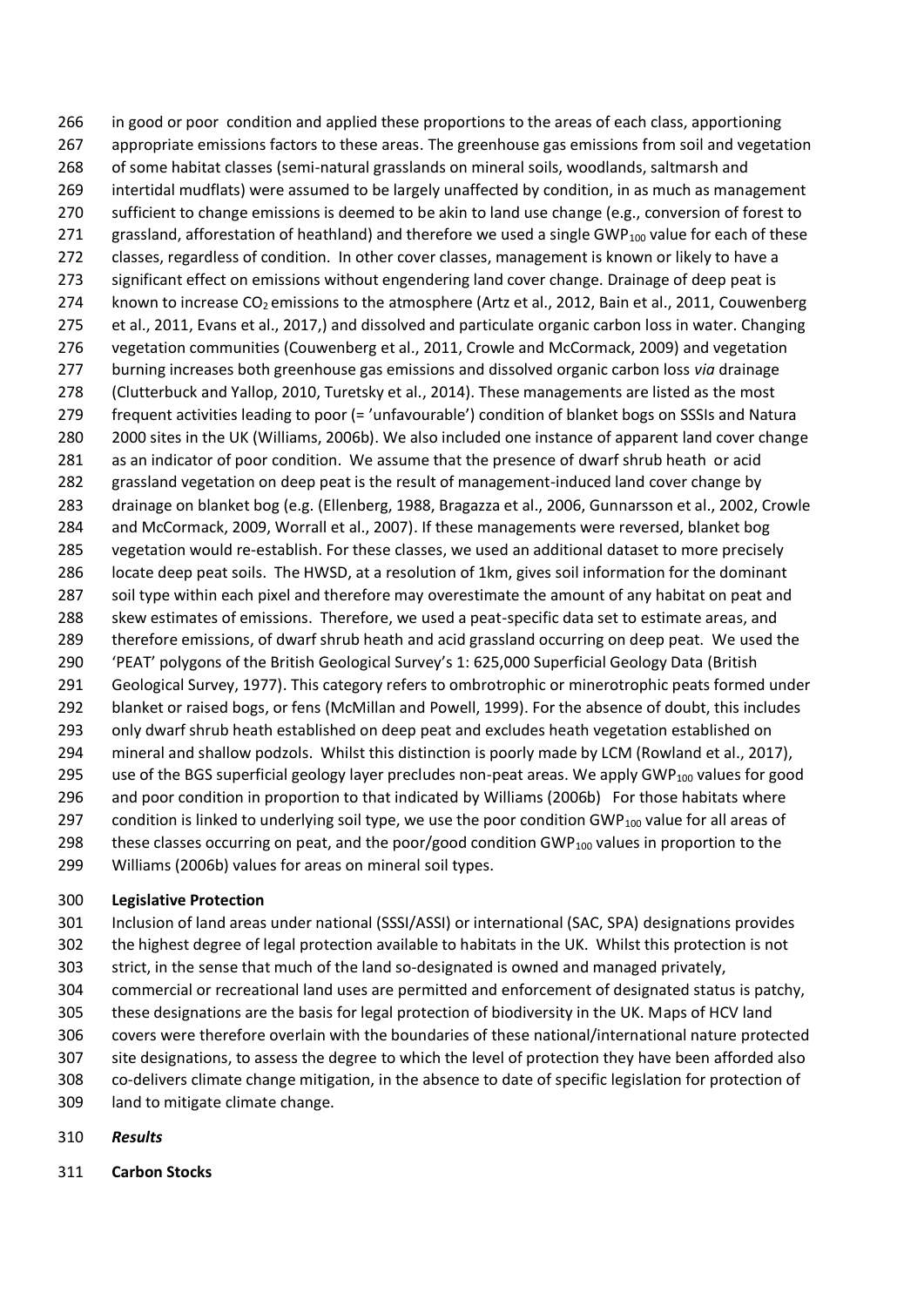in good or poor condition and applied these proportions to the areas of each class, apportioning appropriate emissions factors to these areas. The greenhouse gas emissions from soil and vegetation of some habitat classes (semi-natural grasslands on mineral soils, woodlands, saltmarsh and intertidal mudflats) were assumed to be largely unaffected by condition, in as much as management 270 sufficient to change emissions is deemed to be akin to land use change (e.g., conversion of forest to 271 grassland, afforestation of heathland) and therefore we used a single GWP<sub>100</sub> value for each of these classes, regardless of condition. In other cover classes, management is known or likely to have a 273 significant effect on emissions without engendering land cover change. Drainage of deep peat is 274 known to increase  $CO<sub>2</sub>$  emissions to the atmosphere (Artz et al., 2012, Bain et al., 2011, Couwenberg et al., 2011, Evans et al., 2017,) and dissolved and particulate organic carbon loss in water. Changing vegetation communities (Couwenberg et al., 2011, Crowle and McCormack, 2009) and vegetation burning increases both greenhouse gas emissions and dissolved organic carbon loss *via* drainage (Clutterbuck and Yallop, 2010, Turetsky et al., 2014). These managements are listed as the most frequent activities leading to poor (= 'unfavourable') condition of blanket bogs on SSSIs and Natura 2000 sites in the UK (Williams, 2006b). We also included one instance of apparent land cover change as an indicator of poor condition. We assume that the presence of dwarf shrub heath or acid grassland vegetation on deep peat is the result of management-induced land cover change by drainage on blanket bog (e.g. (Ellenberg, 1988, Bragazza et al., 2006, Gunnarsson et al., 2002, Crowle and McCormack, 2009, Worrall et al., 2007). If these managements were reversed, blanket bog vegetation would re-establish. For these classes, we used an additional dataset to more precisely locate deep peat soils. The HWSD, at a resolution of 1km, gives soil information for the dominant soil type within each pixel and therefore may overestimate the amount of any habitat on peat and skew estimates of emissions. Therefore, we used a peat-specific data set to estimate areas, and therefore emissions, of dwarf shrub heath and acid grassland occurring on deep peat. We used the 'PEAT' polygons of the British Geological Survey's 1: 625,000 Superficial Geology Data (British Geological Survey, 1977). This category refers to ombrotrophic or minerotrophic peats formed under blanket or raised bogs, or fens (McMillan and Powell, 1999). For the absence of doubt, this includes only dwarf shrub heath established on deep peat and excludes heath vegetation established on mineral and shallow podzols. Whilst this distinction is poorly made by LCM (Rowland et al., 2017), 295 use of the BGS superficial geology layer precludes non-peat areas. We apply GWP<sub>100</sub> values for good and poor condition in proportion to that indicated by Williams (2006b) For those habitats where 297 condition is linked to underlying soil type, we use the poor condition GWP<sub>100</sub> value for all areas of 298 these classes occurring on peat, and the poor/good condition GWP<sub>100</sub> values in proportion to the Williams (2006b) values for areas on mineral soil types.

### **Legislative Protection**

- Inclusion of land areas under national (SSSI/ASSI) or international (SAC, SPA) designations provides
- the highest degree of legal protection available to habitats in the UK. Whilst this protection is not
- strict, in the sense that much of the land so-designated is owned and managed privately,
- commercial or recreational land uses are permitted and enforcement of designated status is patchy,
- these designations are the basis for legal protection of biodiversity in the UK. Maps of HCV land
- covers were therefore overlain with the boundaries of these national/international nature protected
- site designations, to assess the degree to which the level of protection they have been afforded also
- co-delivers climate change mitigation, in the absence to date of specific legislation for protection of
- land to mitigate climate change.
- *Results*
- **Carbon Stocks**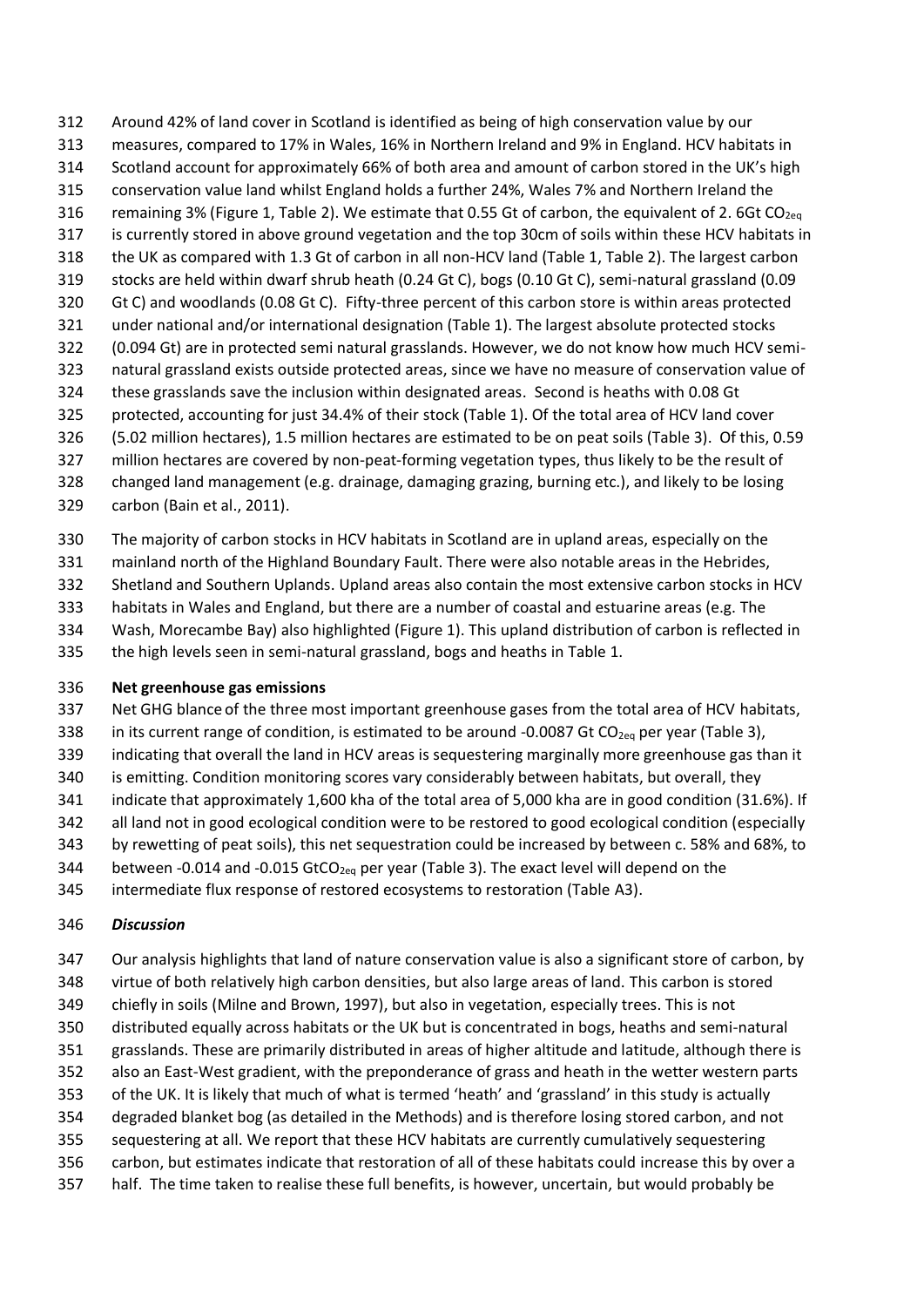Around 42% of land cover in Scotland is identified as being of high conservation value by our measures, compared to 17% in Wales, 16% in Northern Ireland and 9% in England. HCV habitats in Scotland account for approximately 66% of both area and amount of carbon stored in the UK's high conservation value land whilst England holds a further 24%, Wales 7% and Northern Ireland the 316 remaining 3% (Figure 1, Table 2). We estimate that 0.55 Gt of carbon, the equivalent of 2. 6Gt CO<sub>2eq</sub> is currently stored in above ground vegetation and the top 30cm of soils within these HCV habitats in the UK as compared with 1.3 Gt of carbon in all non-HCV land (Table 1, Table 2). The largest carbon stocks are held within dwarf shrub heath (0.24 Gt C), bogs (0.10 Gt C), semi-natural grassland (0.09 Gt C) and woodlands (0.08 Gt C). Fifty-three percent of this carbon store is within areas protected under national and/or international designation (Table 1). The largest absolute protected stocks (0.094 Gt) are in protected semi natural grasslands. However, we do not know how much HCV semi- natural grassland exists outside protected areas, since we have no measure of conservation value of these grasslands save the inclusion within designated areas. Second is heaths with 0.08 Gt protected, accounting for just 34.4% of their stock (Table 1). Of the total area of HCV land cover (5.02 million hectares), 1.5 million hectares are estimated to be on peat soils (Table 3). Of this, 0.59 million hectares are covered by non-peat-forming vegetation types, thus likely to be the result of changed land management (e.g. drainage, damaging grazing, burning etc.), and likely to be losing

- carbon (Bain et al., 2011).
- The majority of carbon stocks in HCV habitats in Scotland are in upland areas, especially on the
- mainland north of the Highland Boundary Fault. There were also notable areas in the Hebrides,
- Shetland and Southern Uplands. Upland areas also contain the most extensive carbon stocks in HCV
- habitats in Wales and England, but there are a number of coastal and estuarine areas (e.g. The
- Wash, Morecambe Bay) also highlighted (Figure 1). This upland distribution of carbon is reflected in
- the high levels seen in semi-natural grassland, bogs and heaths in Table 1.

#### **Net greenhouse gas emissions**

- Net GHG blance of the three most important greenhouse gases from the total area of HCV habitats,
- 338 in its current range of condition, is estimated to be around -0.0087 Gt CO<sub>2eq</sub> per year (Table 3),
- indicating that overall the land in HCV areas is sequestering marginally more greenhouse gas than it
- is emitting. Condition monitoring scores vary considerably between habitats, but overall, they
- indicate that approximately 1,600 kha of the total area of 5,000 kha are in good condition (31.6%). If
- 342 all land not in good ecological condition were to be restored to good ecological condition (especially
- by rewetting of peat soils), this net sequestration could be increased by between c. 58% and 68%, to
- 344 between -0.014 and -0.015 GtCO<sub>2eq</sub> per year (Table 3). The exact level will depend on the
- intermediate flux response of restored ecosystems to restoration (Table A3).

#### *Discussion*

 Our analysis highlights that land of nature conservation value is also a significant store of carbon, by virtue of both relatively high carbon densities, but also large areas of land. This carbon is stored chiefly in soils (Milne and Brown, 1997), but also in vegetation, especially trees. This is not distributed equally across habitats or the UK but is concentrated in bogs, heaths and semi-natural grasslands. These are primarily distributed in areas of higher altitude and latitude, although there is also an East-West gradient, with the preponderance of grass and heath in the wetter western parts of the UK. It is likely that much of what is termed 'heath' and 'grassland' in this study is actually degraded blanket bog (as detailed in the Methods) and is therefore losing stored carbon, and not sequestering at all. We report that these HCV habitats are currently cumulatively sequestering carbon, but estimates indicate that restoration of all of these habitats could increase this by over a half. The time taken to realise these full benefits, is however, uncertain, but would probably be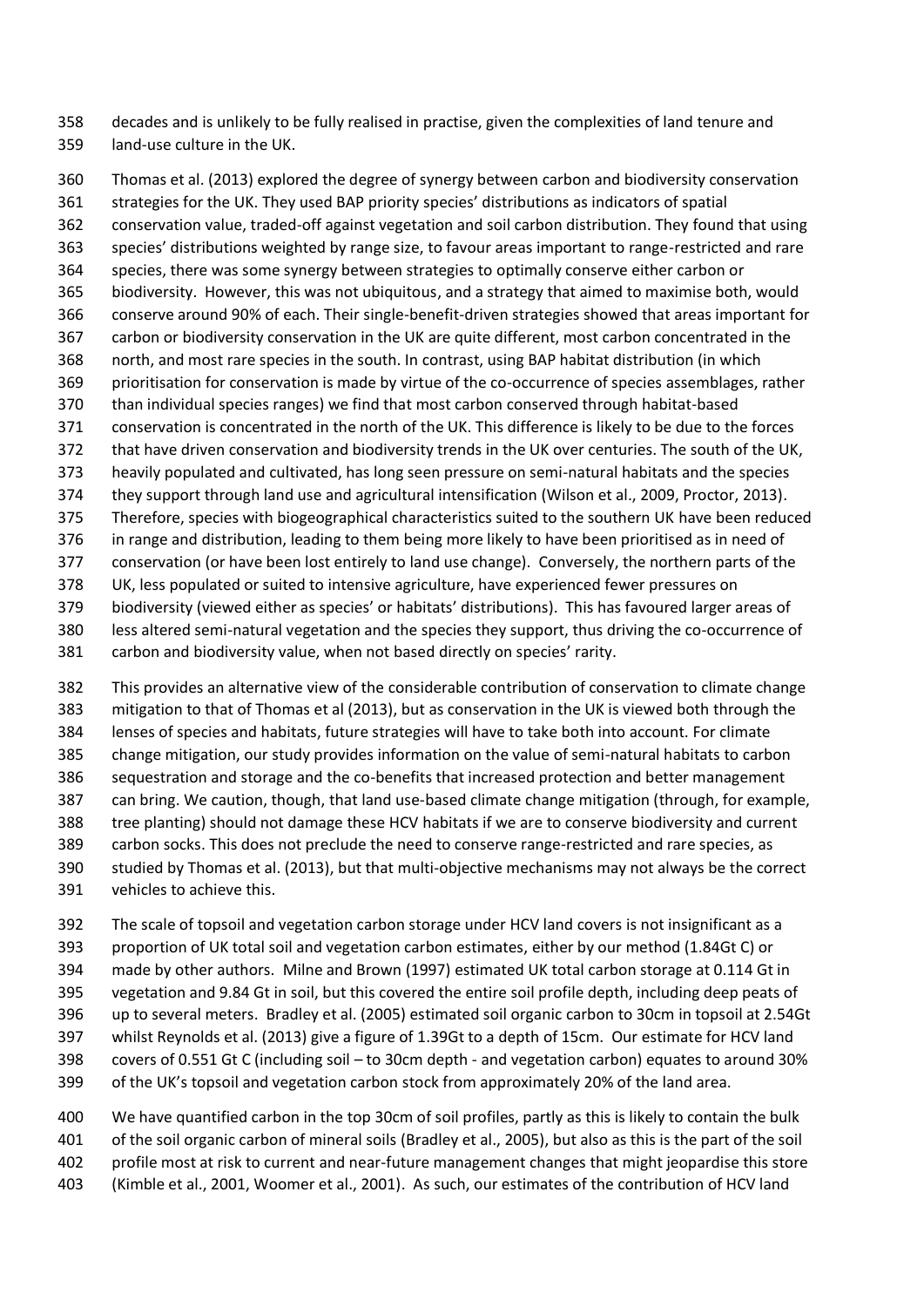decades and is unlikely to be fully realised in practise, given the complexities of land tenure and land-use culture in the UK.

 Thomas et al. (2013) explored the degree of synergy between carbon and biodiversity conservation strategies for the UK. They used BAP priority species' distributions as indicators of spatial conservation value, traded-off against vegetation and soil carbon distribution. They found that using species' distributions weighted by range size, to favour areas important to range-restricted and rare species, there was some synergy between strategies to optimally conserve either carbon or biodiversity. However, this was not ubiquitous, and a strategy that aimed to maximise both, would conserve around 90% of each. Their single-benefit-driven strategies showed that areas important for carbon or biodiversity conservation in the UK are quite different, most carbon concentrated in the north, and most rare species in the south. In contrast, using BAP habitat distribution (in which prioritisation for conservation is made by virtue of the co-occurrence of species assemblages, rather than individual species ranges) we find that most carbon conserved through habitat-based conservation is concentrated in the north of the UK. This difference is likely to be due to the forces that have driven conservation and biodiversity trends in the UK over centuries. The south of the UK, heavily populated and cultivated, has long seen pressure on semi-natural habitats and the species they support through land use and agricultural intensification (Wilson et al., 2009, Proctor, 2013). Therefore, species with biogeographical characteristics suited to the southern UK have been reduced in range and distribution, leading to them being more likely to have been prioritised as in need of conservation (or have been lost entirely to land use change). Conversely, the northern parts of the UK, less populated or suited to intensive agriculture, have experienced fewer pressures on biodiversity (viewed either as species' or habitats' distributions). This has favoured larger areas of less altered semi-natural vegetation and the species they support, thus driving the co-occurrence of carbon and biodiversity value, when not based directly on species' rarity.

 This provides an alternative view of the considerable contribution of conservation to climate change mitigation to that of Thomas et al (2013), but as conservation in the UK is viewed both through the lenses of species and habitats, future strategies will have to take both into account. For climate change mitigation, our study provides information on the value of semi-natural habitats to carbon sequestration and storage and the co-benefits that increased protection and better management can bring. We caution, though, that land use-based climate change mitigation (through, for example, tree planting) should not damage these HCV habitats if we are to conserve biodiversity and current carbon socks. This does not preclude the need to conserve range-restricted and rare species, as studied by Thomas et al. (2013), but that multi-objective mechanisms may not always be the correct vehicles to achieve this.

 The scale of topsoil and vegetation carbon storage under HCV land covers is not insignificant as a proportion of UK total soil and vegetation carbon estimates, either by our method (1.84Gt C) or made by other authors. Milne and Brown (1997) estimated UK total carbon storage at 0.114 Gt in vegetation and 9.84 Gt in soil, but this covered the entire soil profile depth, including deep peats of up to several meters. Bradley et al. (2005) estimated soil organic carbon to 30cm in topsoil at 2.54Gt whilst Reynolds et al. (2013) give a figure of 1.39Gt to a depth of 15cm. Our estimate for HCV land covers of 0.551 Gt C (including soil – to 30cm depth - and vegetation carbon) equates to around 30% of the UK's topsoil and vegetation carbon stock from approximately 20% of the land area.

 We have quantified carbon in the top 30cm of soil profiles, partly as this is likely to contain the bulk of the soil organic carbon of mineral soils (Bradley et al., 2005), but also as this is the part of the soil profile most at risk to current and near-future management changes that might jeopardise this store (Kimble et al., 2001, Woomer et al., 2001). As such, our estimates of the contribution of HCV land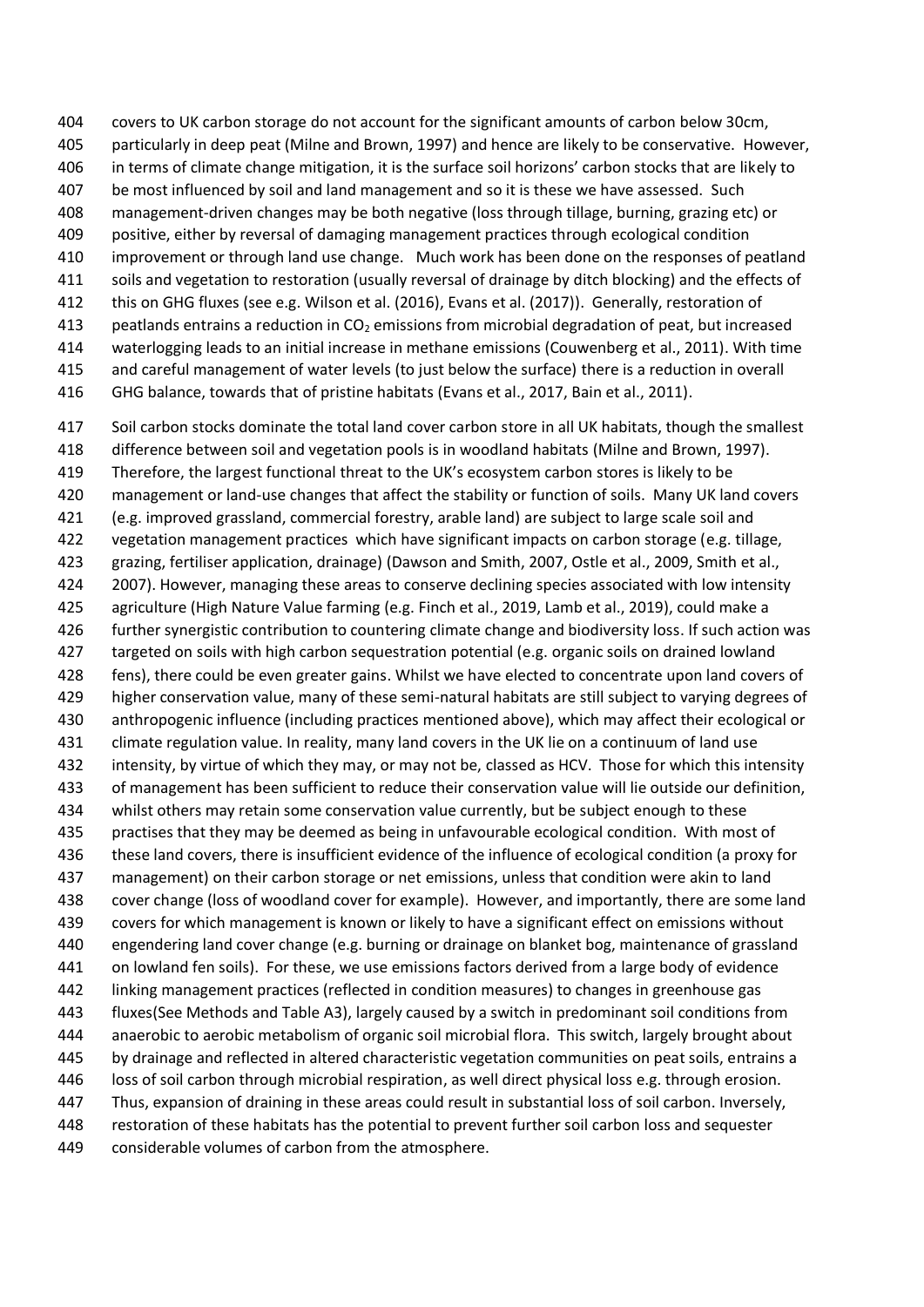covers to UK carbon storage do not account for the significant amounts of carbon below 30cm, particularly in deep peat (Milne and Brown, 1997) and hence are likely to be conservative. However, in terms of climate change mitigation, it is the surface soil horizons' carbon stocks that are likely to be most influenced by soil and land management and so it is these we have assessed. Such management-driven changes may be both negative (loss through tillage, burning, grazing etc) or positive, either by reversal of damaging management practices through ecological condition improvement or through land use change. Much work has been done on the responses of peatland soils and vegetation to restoration (usually reversal of drainage by ditch blocking) and the effects of this on GHG fluxes (see e.g. Wilson et al. (2016), Evans et al. (2017)). Generally, restoration of 413 peatlands entrains a reduction in CO<sub>2</sub> emissions from microbial degradation of peat, but increased waterlogging leads to an initial increase in methane emissions (Couwenberg et al., 2011). With time and careful management of water levels (to just below the surface) there is a reduction in overall

GHG balance, towards that of pristine habitats (Evans et al., 2017, Bain et al., 2011).

417 Soil carbon stocks dominate the total land cover carbon store in all UK habitats, though the smallest difference between soil and vegetation pools is in woodland habitats (Milne and Brown, 1997). Therefore, the largest functional threat to the UK's ecosystem carbon stores is likely to be management or land-use changes that affect the stability or function of soils. Many UK land covers (e.g. improved grassland, commercial forestry, arable land) are subject to large scale soil and vegetation management practices which have significant impacts on carbon storage (e.g. tillage, grazing, fertiliser application, drainage) (Dawson and Smith, 2007, Ostle et al., 2009, Smith et al., 424 2007). However, managing these areas to conserve declining species associated with low intensity agriculture (High Nature Value farming (e.g. Finch et al., 2019, Lamb et al., 2019), could make a further synergistic contribution to countering climate change and biodiversity loss. If such action was targeted on soils with high carbon sequestration potential (e.g. organic soils on drained lowland fens), there could be even greater gains. Whilst we have elected to concentrate upon land covers of higher conservation value, many of these semi-natural habitats are still subject to varying degrees of anthropogenic influence (including practices mentioned above), which may affect their ecological or climate regulation value. In reality, many land covers in the UK lie on a continuum of land use intensity, by virtue of which they may, or may not be, classed as HCV. Those for which this intensity of management has been sufficient to reduce their conservation value will lie outside our definition, whilst others may retain some conservation value currently, but be subject enough to these practises that they may be deemed as being in unfavourable ecological condition. With most of these land covers, there is insufficient evidence of the influence of ecological condition (a proxy for management) on their carbon storage or net emissions, unless that condition were akin to land cover change (loss of woodland cover for example). However, and importantly, there are some land covers for which management is known or likely to have a significant effect on emissions without engendering land cover change (e.g. burning or drainage on blanket bog, maintenance of grassland on lowland fen soils). For these, we use emissions factors derived from a large body of evidence linking management practices (reflected in condition measures) to changes in greenhouse gas fluxes(See Methods and Table A3), largely caused by a switch in predominant soil conditions from anaerobic to aerobic metabolism of organic soil microbial flora. This switch, largely brought about by drainage and reflected in altered characteristic vegetation communities on peat soils, entrains a loss of soil carbon through microbial respiration, as well direct physical loss e.g. through erosion. Thus, expansion of draining in these areas could result in substantial loss of soil carbon. Inversely, restoration of these habitats has the potential to prevent further soil carbon loss and sequester considerable volumes of carbon from the atmosphere.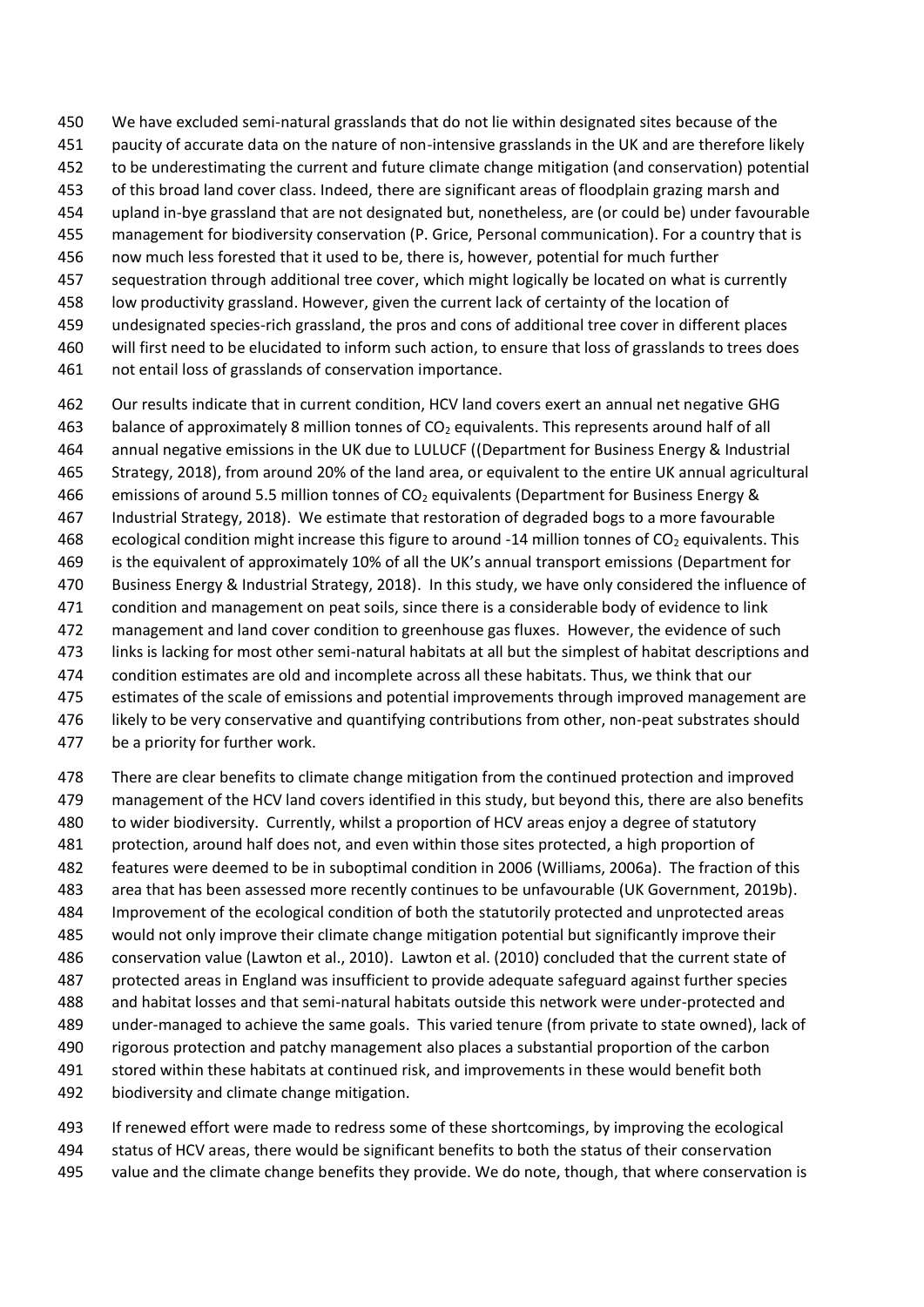- We have excluded semi-natural grasslands that do not lie within designated sites because of the
- paucity of accurate data on the nature of non-intensive grasslands in the UK and are therefore likely
- to be underestimating the current and future climate change mitigation (and conservation) potential
- of this broad land cover class. Indeed, there are significant areas of floodplain grazing marsh and
- upland in-bye grassland that are not designated but, nonetheless, are (or could be) under favourable
- management for biodiversity conservation (P. Grice, Personal communication). For a country that is
- now much less forested that it used to be, there is, however, potential for much further sequestration through additional tree cover, which might logically be located on what is currently
- low productivity grassland. However, given the current lack of certainty of the location of
- undesignated species-rich grassland, the pros and cons of additional tree cover in different places
- will first need to be elucidated to inform such action, to ensure that loss of grasslands to trees does
- not entail loss of grasslands of conservation importance.
- Our results indicate that in current condition, HCV land covers exert an annual net negative GHG 463 balance of approximately 8 million tonnes of  $CO<sub>2</sub>$  equivalents. This represents around half of all annual negative emissions in the UK due to LULUCF ((Department for Business Energy & Industrial Strategy, 2018), from around 20% of the land area, or equivalent to the entire UK annual agricultural 466 emissions of around 5.5 million tonnes of  $CO<sub>2</sub>$  equivalents (Department for Business Energy & Industrial Strategy, 2018). We estimate that restoration of degraded bogs to a more favourable 468 ecological condition might increase this figure to around -14 million tonnes of  $CO<sub>2</sub>$  equivalents. This is the equivalent of approximately 10% of all the UK's annual transport emissions (Department for Business Energy & Industrial Strategy, 2018). In this study, we have only considered the influence of condition and management on peat soils, since there is a considerable body of evidence to link management and land cover condition to greenhouse gas fluxes. However, the evidence of such links is lacking for most other semi-natural habitats at all but the simplest of habitat descriptions and condition estimates are old and incomplete across all these habitats. Thus, we think that our estimates of the scale of emissions and potential improvements through improved management are 476 likely to be very conservative and quantifying contributions from other, non-peat substrates should
- be a priority for further work.
- There are clear benefits to climate change mitigation from the continued protection and improved management of the HCV land covers identified in this study, but beyond this, there are also benefits to wider biodiversity. Currently, whilst a proportion of HCV areas enjoy a degree of statutory protection, around half does not, and even within those sites protected, a high proportion of features were deemed to be in suboptimal condition in 2006 (Williams, 2006a). The fraction of this area that has been assessed more recently continues to be unfavourable (UK Government, 2019b). Improvement of the ecological condition of both the statutorily protected and unprotected areas would not only improve their climate change mitigation potential but significantly improve their conservation value (Lawton et al., 2010). Lawton et al. (2010) concluded that the current state of protected areas in England was insufficient to provide adequate safeguard against further species and habitat losses and that semi-natural habitats outside this network were under-protected and under-managed to achieve the same goals. This varied tenure (from private to state owned), lack of rigorous protection and patchy management also places a substantial proportion of the carbon stored within these habitats at continued risk, and improvements in these would benefit both biodiversity and climate change mitigation.
- If renewed effort were made to redress some of these shortcomings, by improving the ecological status of HCV areas, there would be significant benefits to both the status of their conservation value and the climate change benefits they provide. We do note, though, that where conservation is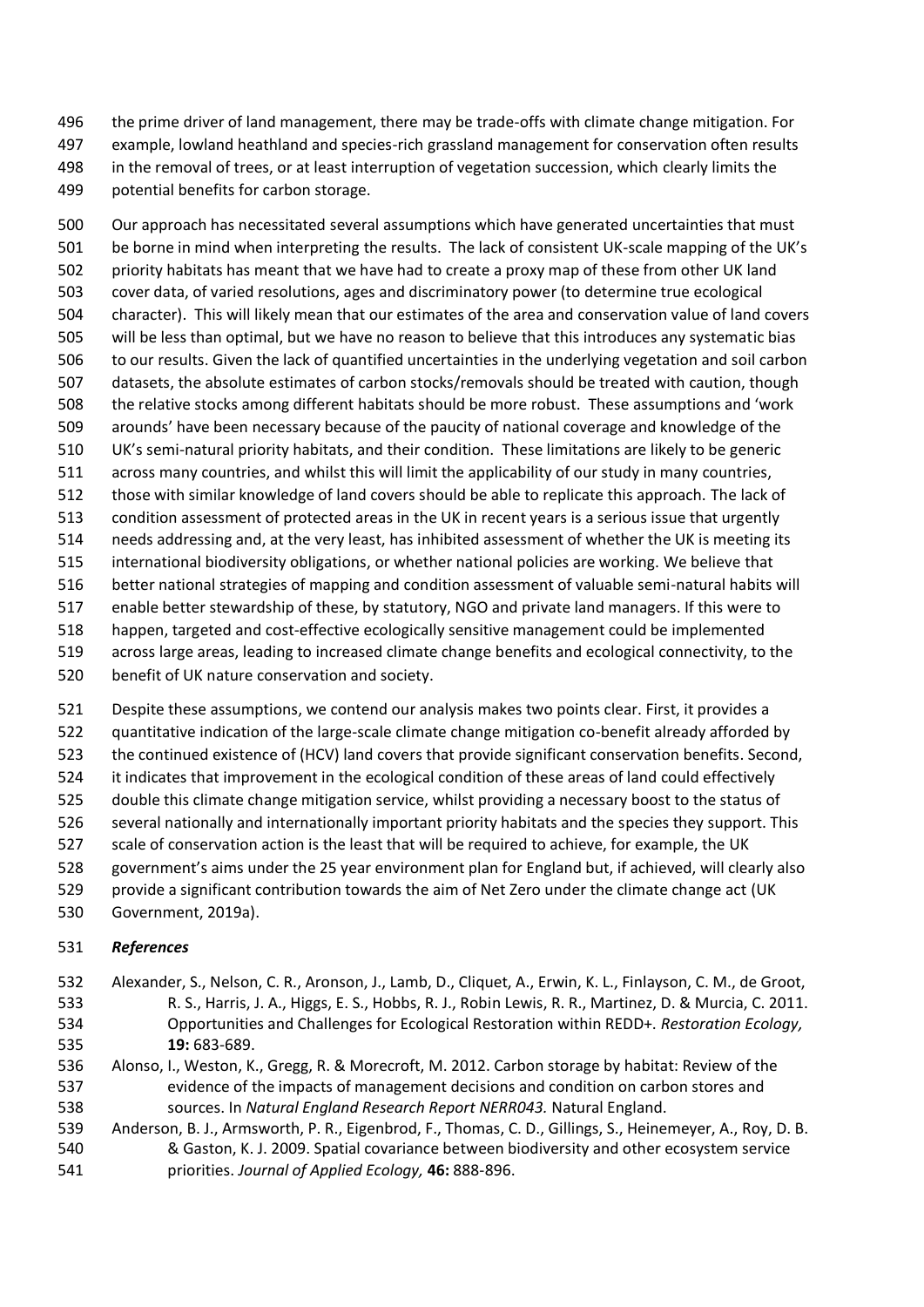the prime driver of land management, there may be trade-offs with climate change mitigation. For example, lowland heathland and species-rich grassland management for conservation often results in the removal of trees, or at least interruption of vegetation succession, which clearly limits the potential benefits for carbon storage.

 Our approach has necessitated several assumptions which have generated uncertainties that must be borne in mind when interpreting the results. The lack of consistent UK-scale mapping of the UK's priority habitats has meant that we have had to create a proxy map of these from other UK land cover data, of varied resolutions, ages and discriminatory power (to determine true ecological character). This will likely mean that our estimates of the area and conservation value of land covers will be less than optimal, but we have no reason to believe that this introduces any systematic bias to our results. Given the lack of quantified uncertainties in the underlying vegetation and soil carbon datasets, the absolute estimates of carbon stocks/removals should be treated with caution, though the relative stocks among different habitats should be more robust. These assumptions and 'work arounds' have been necessary because of the paucity of national coverage and knowledge of the UK's semi-natural priority habitats, and their condition. These limitations are likely to be generic across many countries, and whilst this will limit the applicability of our study in many countries, those with similar knowledge of land covers should be able to replicate this approach. The lack of condition assessment of protected areas in the UK in recent years is a serious issue that urgently needs addressing and, at the very least, has inhibited assessment of whether the UK is meeting its international biodiversity obligations, or whether national policies are working. We believe that better national strategies of mapping and condition assessment of valuable semi-natural habits will enable better stewardship of these, by statutory, NGO and private land managers. If this were to happen, targeted and cost-effective ecologically sensitive management could be implemented across large areas, leading to increased climate change benefits and ecological connectivity, to the

- benefit of UK nature conservation and society.
- Despite these assumptions, we contend our analysis makes two points clear. First, it provides a
- quantitative indication of the large-scale climate change mitigation co-benefit already afforded by
- the continued existence of (HCV) land covers that provide significant conservation benefits. Second,
- it indicates that improvement in the ecological condition of these areas of land could effectively
- double this climate change mitigation service, whilst providing a necessary boost to the status of
- several nationally and internationally important priority habitats and the species they support. This
- scale of conservation action is the least that will be required to achieve, for example, the UK
- government's aims under the 25 year environment plan for England but, if achieved, will clearly also
- provide a significant contribution towards the aim of Net Zero under the climate change act (UK
- Government, 2019a).

### *References*

- Alexander, S., Nelson, C. R., Aronson, J., Lamb, D., Cliquet, A., Erwin, K. L., Finlayson, C. M., de Groot, R. S., Harris, J. A., Higgs, E. S., Hobbs, R. J., Robin Lewis, R. R., Martinez, D. & Murcia, C. 2011. Opportunities and Challenges for Ecological Restoration within REDD+. *Restoration Ecology,* **19:** 683-689.
- Alonso, I., Weston, K., Gregg, R. & Morecroft, M. 2012. Carbon storage by habitat: Review of the evidence of the impacts of management decisions and condition on carbon stores and sources. In *Natural England Research Report NERR043.* Natural England.
- Anderson, B. J., Armsworth, P. R., Eigenbrod, F., Thomas, C. D., Gillings, S., Heinemeyer, A., Roy, D. B. & Gaston, K. J. 2009. Spatial covariance between biodiversity and other ecosystem service priorities. *Journal of Applied Ecology,* **46:** 888-896.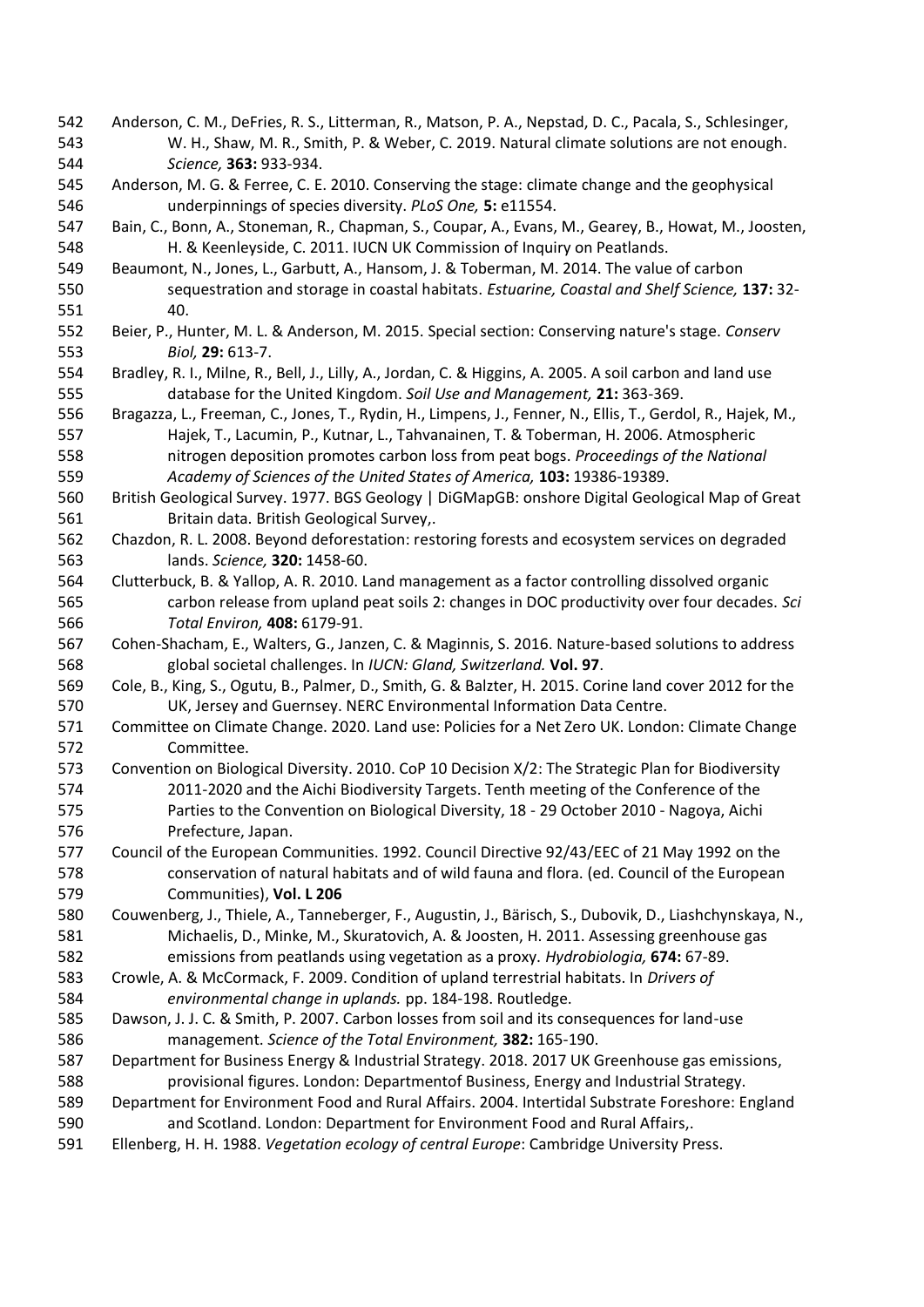- Anderson, C. M., DeFries, R. S., Litterman, R., Matson, P. A., Nepstad, D. C., Pacala, S., Schlesinger, W. H., Shaw, M. R., Smith, P. & Weber, C. 2019. Natural climate solutions are not enough. *Science,* **363:** 933-934.
- Anderson, M. G. & Ferree, C. E. 2010. Conserving the stage: climate change and the geophysical underpinnings of species diversity. *PLoS One,* **5:** e11554.
- Bain, C., Bonn, A., Stoneman, R., Chapman, S., Coupar, A., Evans, M., Gearey, B., Howat, M., Joosten, H. & Keenleyside, C. 2011. IUCN UK Commission of Inquiry on Peatlands.
- Beaumont, N., Jones, L., Garbutt, A., Hansom, J. & Toberman, M. 2014. The value of carbon sequestration and storage in coastal habitats. *Estuarine, Coastal and Shelf Science,* **137:** 32- 40.
- Beier, P., Hunter, M. L. & Anderson, M. 2015. Special section: Conserving nature's stage. *Conserv Biol,* **29:** 613-7.
- Bradley, R. I., Milne, R., Bell, J., Lilly, A., Jordan, C. & Higgins, A. 2005. A soil carbon and land use database for the United Kingdom. *Soil Use and Management,* **21:** 363-369.
- Bragazza, L., Freeman, C., Jones, T., Rydin, H., Limpens, J., Fenner, N., Ellis, T., Gerdol, R., Hajek, M., Hajek, T., Lacumin, P., Kutnar, L., Tahvanainen, T. & Toberman, H. 2006. Atmospheric nitrogen deposition promotes carbon loss from peat bogs. *Proceedings of the National Academy of Sciences of the United States of America,* **103:** 19386-19389.
- British Geological Survey. 1977. BGS Geology | DiGMapGB: onshore Digital Geological Map of Great Britain data. British Geological Survey,.
- Chazdon, R. L. 2008. Beyond deforestation: restoring forests and ecosystem services on degraded lands. *Science,* **320:** 1458-60.
- Clutterbuck, B. & Yallop, A. R. 2010. Land management as a factor controlling dissolved organic carbon release from upland peat soils 2: changes in DOC productivity over four decades. *Sci Total Environ,* **408:** 6179-91.
- Cohen-Shacham, E., Walters, G., Janzen, C. & Maginnis, S. 2016. Nature-based solutions to address global societal challenges. In *IUCN: Gland, Switzerland.* **Vol. 97**.
- Cole, B., King, S., Ogutu, B., Palmer, D., Smith, G. & Balzter, H. 2015. Corine land cover 2012 for the UK, Jersey and Guernsey. NERC Environmental Information Data Centre.
- Committee on Climate Change. 2020. Land use: Policies for a Net Zero UK. London: Climate Change Committee.
- Convention on Biological Diversity. 2010. CoP 10 Decision X/2: The Strategic Plan for Biodiversity 2011-2020 and the Aichi Biodiversity Targets. Tenth meeting of the Conference of the Parties to the Convention on Biological Diversity, 18 - 29 October 2010 - Nagoya, Aichi Prefecture, Japan.
- Council of the European Communities. 1992. Council Directive 92/43/EEC of 21 May 1992 on the conservation of natural habitats and of wild fauna and flora. (ed. Council of the European Communities), **Vol. L 206**
- Couwenberg, J., Thiele, A., Tanneberger, F., Augustin, J., Bärisch, S., Dubovik, D., Liashchynskaya, N., Michaelis, D., Minke, M., Skuratovich, A. & Joosten, H. 2011. Assessing greenhouse gas emissions from peatlands using vegetation as a proxy. *Hydrobiologia,* **674:** 67-89.
- Crowle, A. & McCormack, F. 2009. Condition of upland terrestrial habitats. In *Drivers of environmental change in uplands.* pp. 184-198. Routledge.
- Dawson, J. J. C. & Smith, P. 2007. Carbon losses from soil and its consequences for land-use management. *Science of the Total Environment,* **382:** 165-190.
- Department for Business Energy & Industrial Strategy. 2018. 2017 UK Greenhouse gas emissions, provisional figures. London: Departmentof Business, Energy and Industrial Strategy.
- Department for Environment Food and Rural Affairs. 2004. Intertidal Substrate Foreshore: England and Scotland. London: Department for Environment Food and Rural Affairs,.
- Ellenberg, H. H. 1988. *Vegetation ecology of central Europe*: Cambridge University Press.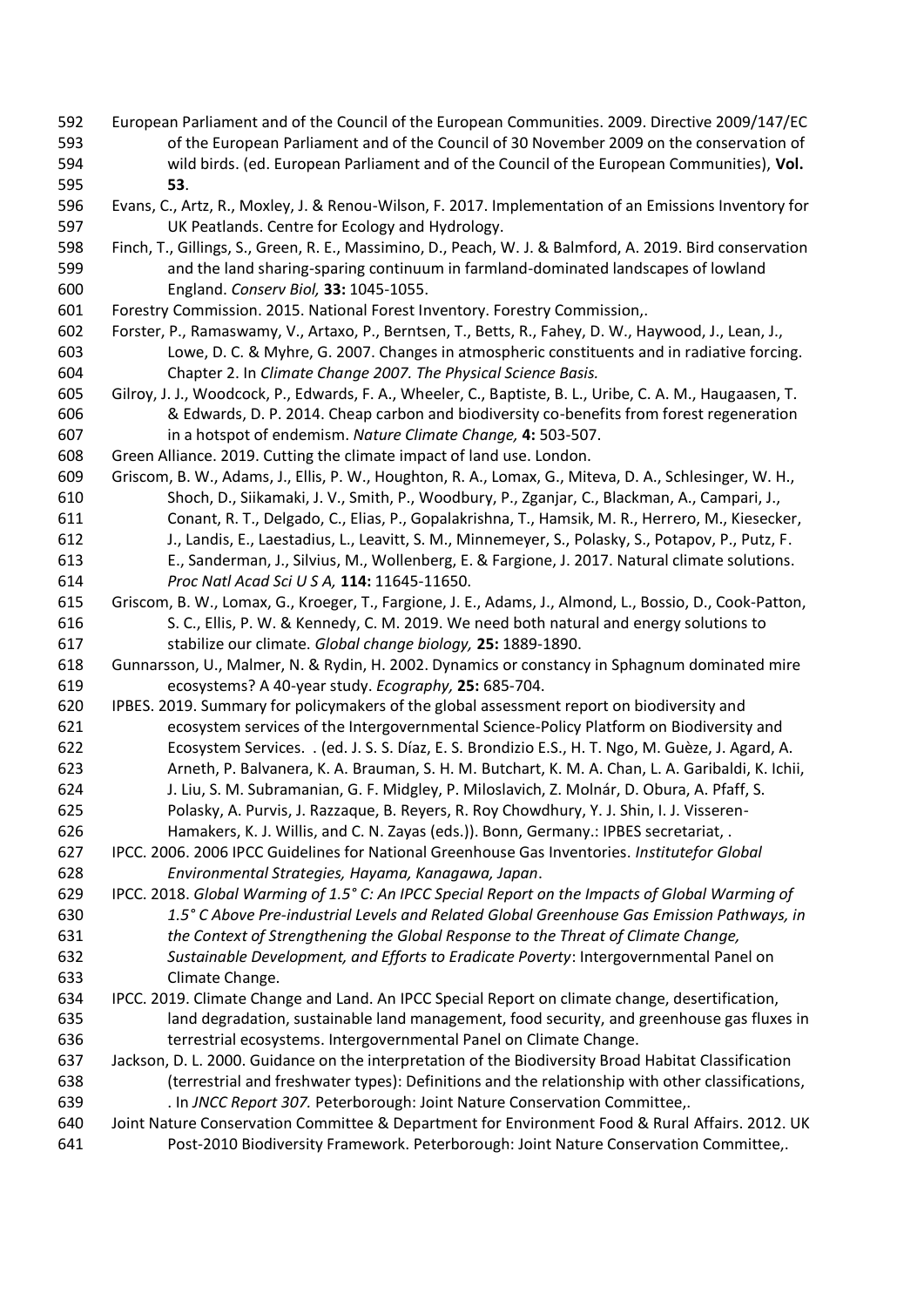- European Parliament and of the Council of the European Communities. 2009. Directive 2009/147/EC of the European Parliament and of the Council of 30 November 2009 on the conservation of wild birds. (ed. European Parliament and of the Council of the European Communities), **Vol. 53**.
- Evans, C., Artz, R., Moxley, J. & Renou-Wilson, F. 2017. Implementation of an Emissions Inventory for UK Peatlands. Centre for Ecology and Hydrology.
- Finch, T., Gillings, S., Green, R. E., Massimino, D., Peach, W. J. & Balmford, A. 2019. Bird conservation and the land sharing-sparing continuum in farmland-dominated landscapes of lowland England. *Conserv Biol,* **33:** 1045-1055.
- Forestry Commission. 2015. National Forest Inventory. Forestry Commission,.
- Forster, P., Ramaswamy, V., Artaxo, P., Berntsen, T., Betts, R., Fahey, D. W., Haywood, J., Lean, J., Lowe, D. C. & Myhre, G. 2007. Changes in atmospheric constituents and in radiative forcing. Chapter 2. In *Climate Change 2007. The Physical Science Basis.*
- Gilroy, J. J., Woodcock, P., Edwards, F. A., Wheeler, C., Baptiste, B. L., Uribe, C. A. M., Haugaasen, T. & Edwards, D. P. 2014. Cheap carbon and biodiversity co-benefits from forest regeneration in a hotspot of endemism. *Nature Climate Change,* **4:** 503-507.
- Green Alliance. 2019. Cutting the climate impact of land use. London.
- Griscom, B. W., Adams, J., Ellis, P. W., Houghton, R. A., Lomax, G., Miteva, D. A., Schlesinger, W. H., Shoch, D., Siikamaki, J. V., Smith, P., Woodbury, P., Zganjar, C., Blackman, A., Campari, J., Conant, R. T., Delgado, C., Elias, P., Gopalakrishna, T., Hamsik, M. R., Herrero, M., Kiesecker, J., Landis, E., Laestadius, L., Leavitt, S. M., Minnemeyer, S., Polasky, S., Potapov, P., Putz, F. E., Sanderman, J., Silvius, M., Wollenberg, E. & Fargione, J. 2017. Natural climate solutions. *Proc Natl Acad Sci U S A,* **114:** 11645-11650.
- Griscom, B. W., Lomax, G., Kroeger, T., Fargione, J. E., Adams, J., Almond, L., Bossio, D., Cook‐Patton, S. C., Ellis, P. W. & Kennedy, C. M. 2019. We need both natural and energy solutions to stabilize our climate. *Global change biology,* **25:** 1889-1890.
- Gunnarsson, U., Malmer, N. & Rydin, H. 2002. Dynamics or constancy in Sphagnum dominated mire ecosystems? A 40-year study. *Ecography,* **25:** 685-704.
- IPBES. 2019. Summary for policymakers of the global assessment report on biodiversity and ecosystem services of the Intergovernmental Science-Policy Platform on Biodiversity and Ecosystem Services. . (ed. J. S. S. Díaz, E. S. Brondizio E.S., H. T. Ngo, M. Guèze, J. Agard, A. Arneth, P. Balvanera, K. A. Brauman, S. H. M. Butchart, K. M. A. Chan, L. A. Garibaldi, K. Ichii,
- J. Liu, S. M. Subramanian, G. F. Midgley, P. Miloslavich, Z. Molnár, D. Obura, A. Pfaff, S. Polasky, A. Purvis, J. Razzaque, B. Reyers, R. Roy Chowdhury, Y. J. Shin, I. J. Visseren-
- Hamakers, K. J. Willis, and C. N. Zayas (eds.)). Bonn, Germany.: IPBES secretariat, .
- IPCC. 2006. 2006 IPCC Guidelines for National Greenhouse Gas Inventories. *Institutefor Global Environmental Strategies, Hayama, Kanagawa, Japan*.
- IPCC. 2018. *Global Warming of 1.5° C: An IPCC Special Report on the Impacts of Global Warming of 1.5° C Above Pre-industrial Levels and Related Global Greenhouse Gas Emission Pathways, in the Context of Strengthening the Global Response to the Threat of Climate Change,*
- *Sustainable Development, and Efforts to Eradicate Poverty*: Intergovernmental Panel on Climate Change.
- IPCC. 2019. Climate Change and Land. An IPCC Special Report on climate change, desertification, land degradation, sustainable land management, food security, and greenhouse gas fluxes in terrestrial ecosystems. Intergovernmental Panel on Climate Change.
- Jackson, D. L. 2000. Guidance on the interpretation of the Biodiversity Broad Habitat Classification (terrestrial and freshwater types): Definitions and the relationship with other classifications, . In *JNCC Report 307.* Peterborough: Joint Nature Conservation Committee,.
- Joint Nature Conservation Committee & Department for Environment Food & Rural Affairs. 2012. UK Post-2010 Biodiversity Framework. Peterborough: Joint Nature Conservation Committee,.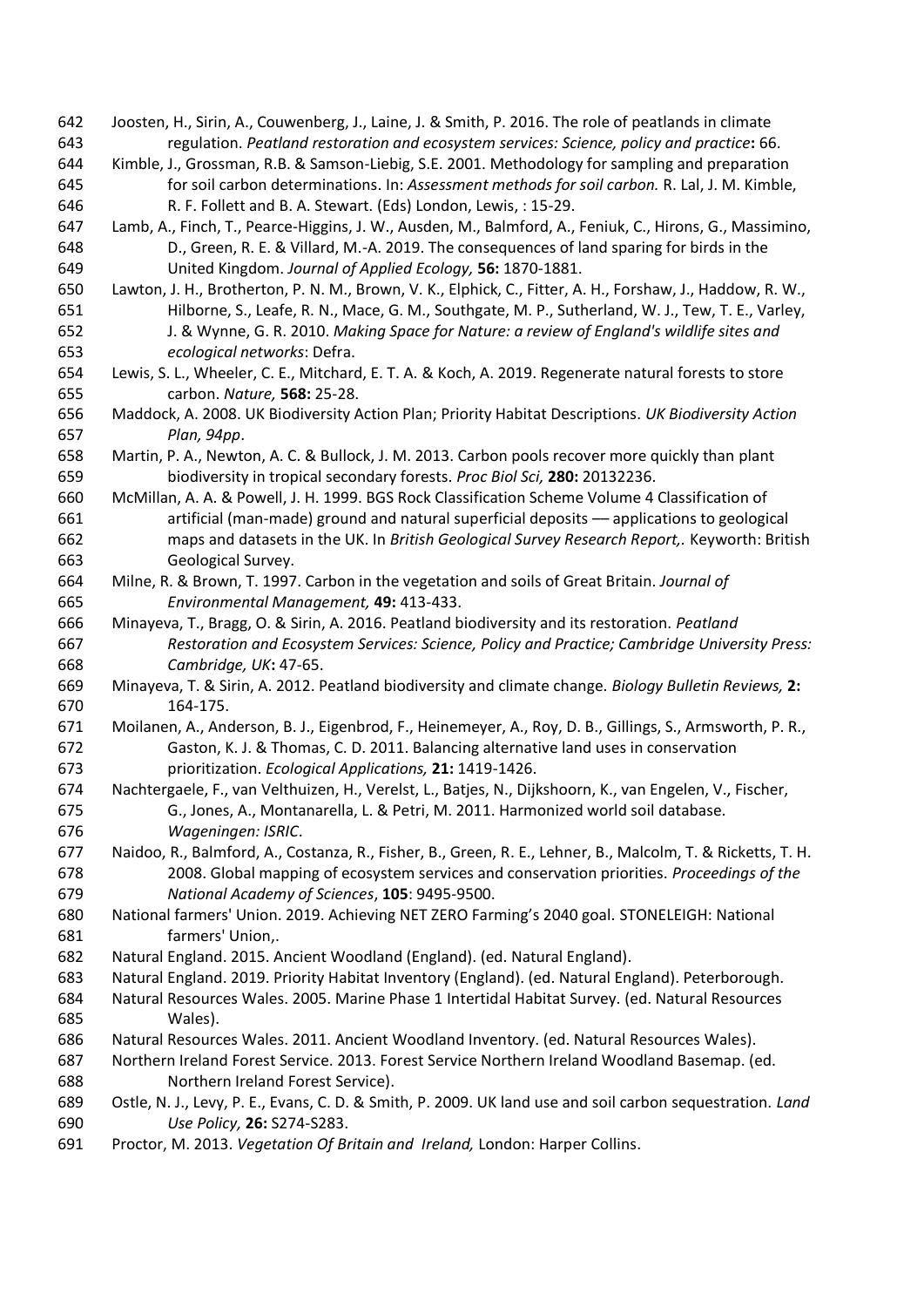- Joosten, H., Sirin, A., Couwenberg, J., Laine, J. & Smith, P. 2016. The role of peatlands in climate regulation. *Peatland restoration and ecosystem services: Science, policy and practice***:** 66.
- Kimble, J., Grossman, R.B. & Samson-Liebig, S.E. 2001. Methodology for sampling and preparation for soil carbon determinations. In: *Assessment methods for soil carbon.* R. Lal, J. M. Kimble, R. F. Follett and B. A. Stewart. (Eds) London, Lewis, : 15-29.
- Lamb, A., Finch, T., Pearce-Higgins, J. W., Ausden, M., Balmford, A., Feniuk, C., Hirons, G., Massimino, D., Green, R. E. & Villard, M.-A. 2019. The consequences of land sparing for birds in the United Kingdom. *Journal of Applied Ecology,* **56:** 1870-1881.
- Lawton, J. H., Brotherton, P. N. M., Brown, V. K., Elphick, C., Fitter, A. H., Forshaw, J., Haddow, R. W., Hilborne, S., Leafe, R. N., Mace, G. M., Southgate, M. P., Sutherland, W. J., Tew, T. E., Varley, J. & Wynne, G. R. 2010. *Making Space for Nature: a review of England's wildlife sites and ecological networks*: Defra.
- Lewis, S. L., Wheeler, C. E., Mitchard, E. T. A. & Koch, A. 2019. Regenerate natural forests to store carbon. *Nature,* **568:** 25-28.
- Maddock, A. 2008. UK Biodiversity Action Plan; Priority Habitat Descriptions. *UK Biodiversity Action Plan, 94pp*.
- Martin, P. A., Newton, A. C. & Bullock, J. M. 2013. Carbon pools recover more quickly than plant biodiversity in tropical secondary forests. *Proc Biol Sci,* **280:** 20132236.
- McMillan, A. A. & Powell, J. H. 1999. BGS Rock Classification Scheme Volume 4 Classification of artificial (man-made) ground and natural superficial deposits –– applications to geological maps and datasets in the UK. In *British Geological Survey Research Report,.* Keyworth: British Geological Survey.
- Milne, R. & Brown, T. 1997. Carbon in the vegetation and soils of Great Britain. *Journal of Environmental Management,* **49:** 413-433.
- Minayeva, T., Bragg, O. & Sirin, A. 2016. Peatland biodiversity and its restoration. *Peatland Restoration and Ecosystem Services: Science, Policy and Practice; Cambridge University Press: Cambridge, UK***:** 47-65.
- Minayeva, T. & Sirin, A. 2012. Peatland biodiversity and climate change. *Biology Bulletin Reviews,* **2:** 164-175.
- Moilanen, A., Anderson, B. J., Eigenbrod, F., Heinemeyer, A., Roy, D. B., Gillings, S., Armsworth, P. R., Gaston, K. J. & Thomas, C. D. 2011. Balancing alternative land uses in conservation prioritization. *Ecological Applications,* **21:** 1419-1426.
- Nachtergaele, F., van Velthuizen, H., Verelst, L., Batjes, N., Dijkshoorn, K., van Engelen, V., Fischer, G., Jones, A., Montanarella, L. & Petri, M. 2011. Harmonized world soil database. *Wageningen: ISRIC*.
- Naidoo, R., Balmford, A., Costanza, R., Fisher, B., Green, R. E., Lehner, B., Malcolm, T. & Ricketts, T. H. 2008. Global mapping of ecosystem services and conservation priorities. *Proceedings of the National Academy of Sciences*, **105**: 9495-9500.
- National farmers' Union. 2019. Achieving NET ZERO Farming's 2040 goal. STONELEIGH: National farmers' Union,.
- Natural England. 2015. Ancient Woodland (England). (ed. Natural England).
- Natural England. 2019. Priority Habitat Inventory (England). (ed. Natural England). Peterborough.
- Natural Resources Wales. 2005. Marine Phase 1 Intertidal Habitat Survey. (ed. Natural Resources Wales).
- Natural Resources Wales. 2011. Ancient Woodland Inventory. (ed. Natural Resources Wales).
- Northern Ireland Forest Service. 2013. Forest Service Northern Ireland Woodland Basemap. (ed. Northern Ireland Forest Service).
- Ostle, N. J., Levy, P. E., Evans, C. D. & Smith, P. 2009. UK land use and soil carbon sequestration. *Land Use Policy,* **26:** S274-S283.
- Proctor, M. 2013. *Vegetation Of Britain and Ireland,* London: Harper Collins.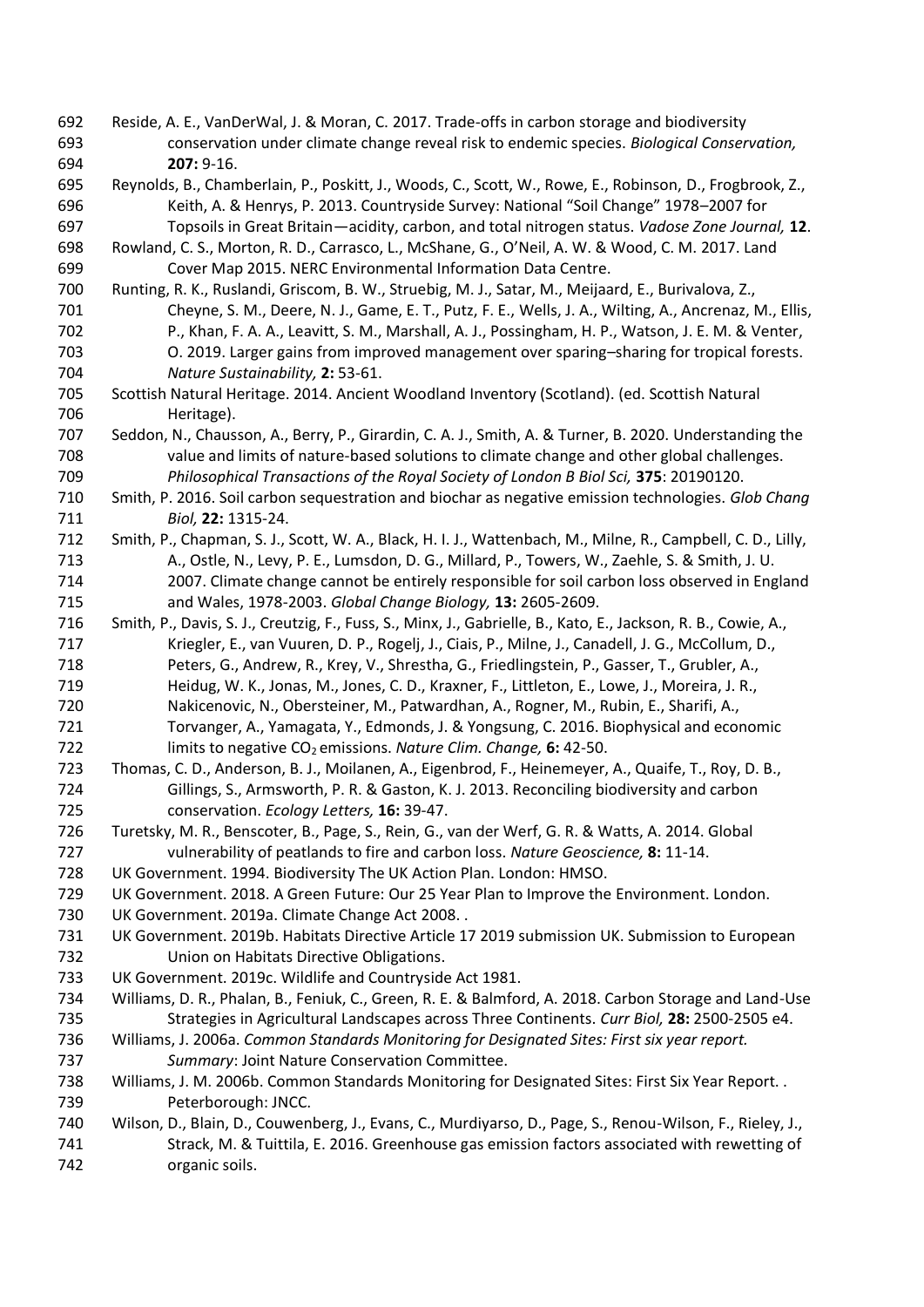- Reside, A. E., VanDerWal, J. & Moran, C. 2017. Trade-offs in carbon storage and biodiversity conservation under climate change reveal risk to endemic species. *Biological Conservation,* **207:** 9-16.
- Reynolds, B., Chamberlain, P., Poskitt, J., Woods, C., Scott, W., Rowe, E., Robinson, D., Frogbrook, Z., Keith, A. & Henrys, P. 2013. Countryside Survey: National "Soil Change" 1978–2007 for Topsoils in Great Britain—acidity, carbon, and total nitrogen status. *Vadose Zone Journal,* **12**.
- Rowland, C. S., Morton, R. D., Carrasco, L., McShane, G., O'Neil, A. W. & Wood, C. M. 2017. Land Cover Map 2015. NERC Environmental Information Data Centre.
- Runting, R. K., Ruslandi, Griscom, B. W., Struebig, M. J., Satar, M., Meijaard, E., Burivalova, Z., Cheyne, S. M., Deere, N. J., Game, E. T., Putz, F. E., Wells, J. A., Wilting, A., Ancrenaz, M., Ellis, P., Khan, F. A. A., Leavitt, S. M., Marshall, A. J., Possingham, H. P., Watson, J. E. M. & Venter, O. 2019. Larger gains from improved management over sparing–sharing for tropical forests. *Nature Sustainability,* **2:** 53-61.
- Scottish Natural Heritage. 2014. Ancient Woodland Inventory (Scotland). (ed. Scottish Natural Heritage).
- Seddon, N., Chausson, A., Berry, P., Girardin, C. A. J., Smith, A. & Turner, B. 2020. Understanding the value and limits of nature-based solutions to climate change and other global challenges. *Philosophical Transactions of the Royal Society of London B Biol Sci,* **375**: 20190120.
- Smith, P. 2016. Soil carbon sequestration and biochar as negative emission technologies. *Glob Chang Biol,* **22:** 1315-24.
- Smith, P., Chapman, S. J., Scott, W. A., Black, H. I. J., Wattenbach, M., Milne, R., Campbell, C. D., Lilly, A., Ostle, N., Levy, P. E., Lumsdon, D. G., Millard, P., Towers, W., Zaehle, S. & Smith, J. U. 2007. Climate change cannot be entirely responsible for soil carbon loss observed in England and Wales, 1978-2003. *Global Change Biology,* **13:** 2605-2609.
- Smith, P., Davis, S. J., Creutzig, F., Fuss, S., Minx, J., Gabrielle, B., Kato, E., Jackson, R. B., Cowie, A., Kriegler, E., van Vuuren, D. P., Rogelj, J., Ciais, P., Milne, J., Canadell, J. G., McCollum, D., Peters, G., Andrew, R., Krey, V., Shrestha, G., Friedlingstein, P., Gasser, T., Grubler, A., Heidug, W. K., Jonas, M., Jones, C. D., Kraxner, F., Littleton, E., Lowe, J., Moreira, J. R., Nakicenovic, N., Obersteiner, M., Patwardhan, A., Rogner, M., Rubin, E., Sharifi, A., Torvanger, A., Yamagata, Y., Edmonds, J. & Yongsung, C. 2016. Biophysical and economic
- 722 limits to negative CO<sub>2</sub> emissions. *Nature Clim. Change*, **6:** 42-50.
- Thomas, C. D., Anderson, B. J., Moilanen, A., Eigenbrod, F., Heinemeyer, A., Quaife, T., Roy, D. B., Gillings, S., Armsworth, P. R. & Gaston, K. J. 2013. Reconciling biodiversity and carbon conservation. *Ecology Letters,* **16:** 39-47.
- Turetsky, M. R., Benscoter, B., Page, S., Rein, G., van der Werf, G. R. & Watts, A. 2014. Global vulnerability of peatlands to fire and carbon loss. *Nature Geoscience,* **8:** 11-14.
- UK Government. 1994. Biodiversity The UK Action Plan. London: HMSO.
- UK Government. 2018. A Green Future: Our 25 Year Plan to Improve the Environment. London.
- UK Government. 2019a. Climate Change Act 2008. .
- UK Government. 2019b. Habitats Directive Article 17 2019 submission UK. Submission to European Union on Habitats Directive Obligations.
- UK Government. 2019c. Wildlife and Countryside Act 1981.
- Williams, D. R., Phalan, B., Feniuk, C., Green, R. E. & Balmford, A. 2018. Carbon Storage and Land-Use Strategies in Agricultural Landscapes across Three Continents. *Curr Biol,* **28:** 2500-2505 e4.
- Williams, J. 2006a. *Common Standards Monitoring for Designated Sites: First six year report. Summary*: Joint Nature Conservation Committee.
- Williams, J. M. 2006b. Common Standards Monitoring for Designated Sites: First Six Year Report. . Peterborough: JNCC.
- Wilson, D., Blain, D., Couwenberg, J., Evans, C., Murdiyarso, D., Page, S., Renou-Wilson, F., Rieley, J., 741 Strack, M. & Tuittila, E. 2016. Greenhouse gas emission factors associated with rewetting of organic soils.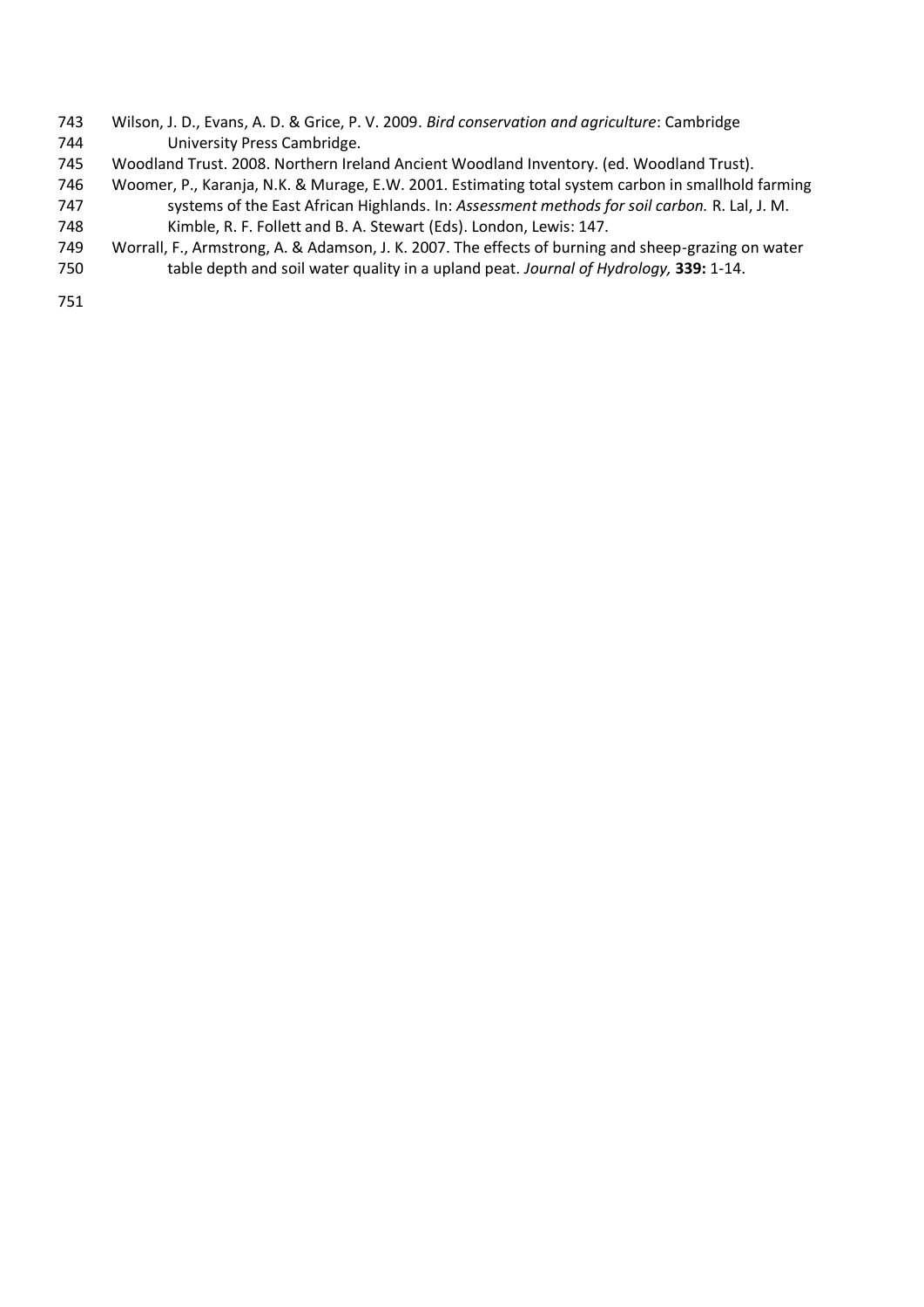- Wilson, J. D., Evans, A. D. & Grice, P. V. 2009. *Bird conservation and agriculture*: Cambridge University Press Cambridge.
- Woodland Trust. 2008. Northern Ireland Ancient Woodland Inventory. (ed. Woodland Trust).
- Woomer, P., Karanja, N.K. & Murage, E.W. 2001. Estimating total system carbon in smallhold farming systems of the East African Highlands. In: *Assessment methods for soil carbon.* R. Lal, J. M.
- Kimble, R. F. Follett and B. A. Stewart (Eds). London, Lewis: 147.
- Worrall, F., Armstrong, A. & Adamson, J. K. 2007. The effects of burning and sheep-grazing on water table depth and soil water quality in a upland peat. *Journal of Hydrology,* **339:** 1-14.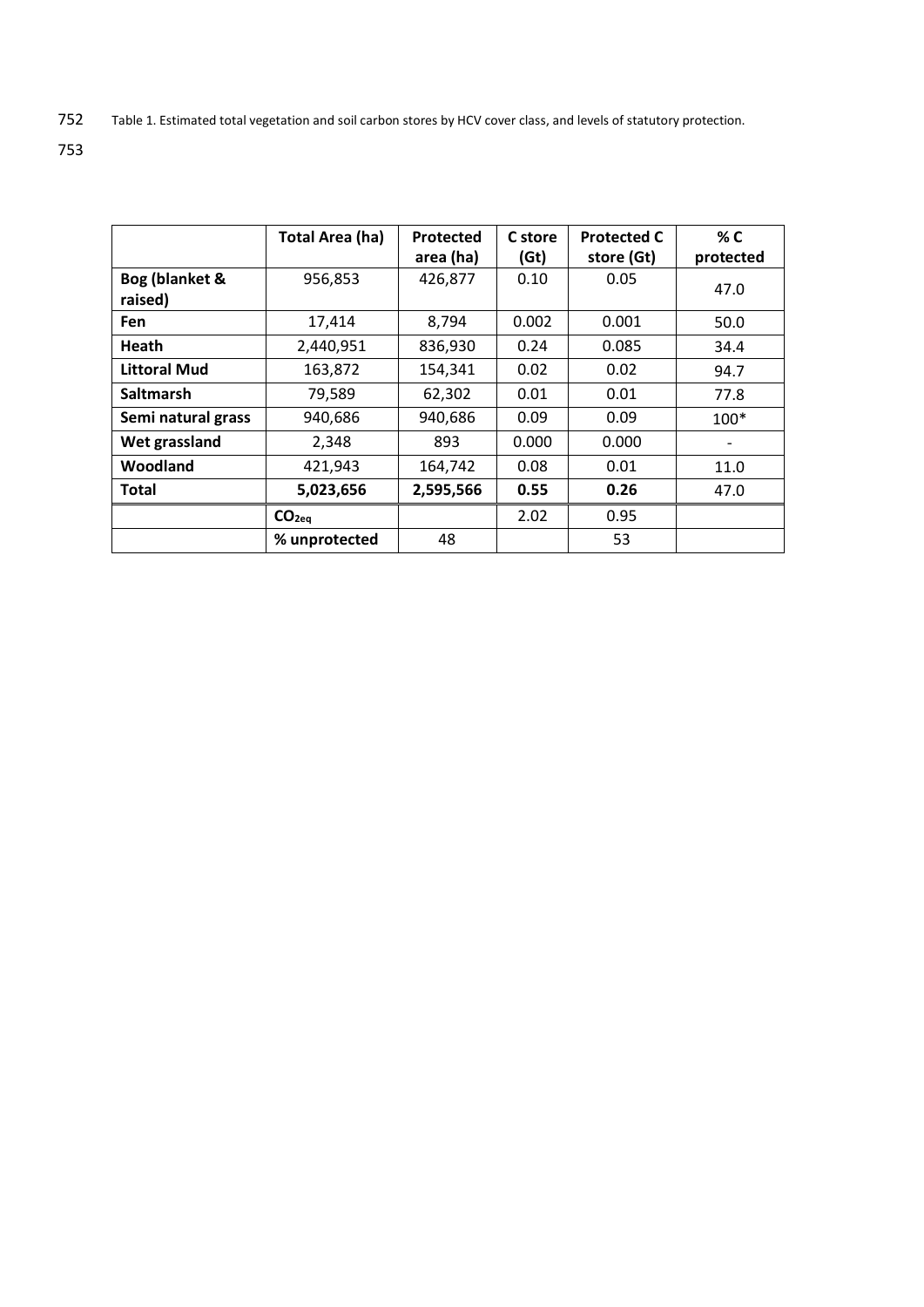752 Table 1. Estimated total vegetation and soil carbon stores by HCV cover class, and levels of statutory protection.

|                           | <b>Total Area (ha)</b> | Protected<br>area (ha) | C store<br>(6t) | <b>Protected C</b><br>store (Gt) | % C<br>protected |
|---------------------------|------------------------|------------------------|-----------------|----------------------------------|------------------|
| Bog (blanket &<br>raised) | 956,853                | 426,877                | 0.10            | 0.05                             | 47.0             |
| <b>Fen</b>                | 17,414                 | 8,794                  | 0.002           | 0.001                            | 50.0             |
| Heath                     | 2,440,951              | 836,930                | 0.24            | 0.085                            | 34.4             |
| Littoral Mud              | 163,872                | 154,341                | 0.02            | 0.02                             | 94.7             |
| <b>Saltmarsh</b>          | 79,589                 | 62,302                 | 0.01            | 0.01                             | 77.8             |
| Semi natural grass        | 940,686                | 940,686                | 0.09            | 0.09                             | $100*$           |
| Wet grassland             | 2,348                  | 893                    | 0.000           | 0.000                            |                  |
| Woodland                  | 421,943                | 164,742                | 0.08            | 0.01                             | 11.0             |
| Total                     | 5,023,656              | 2,595,566              | 0.55            | 0.26                             | 47.0             |
|                           | CO <sub>2eq</sub>      |                        | 2.02            | 0.95                             |                  |
|                           | % unprotected          | 48                     |                 | 53                               |                  |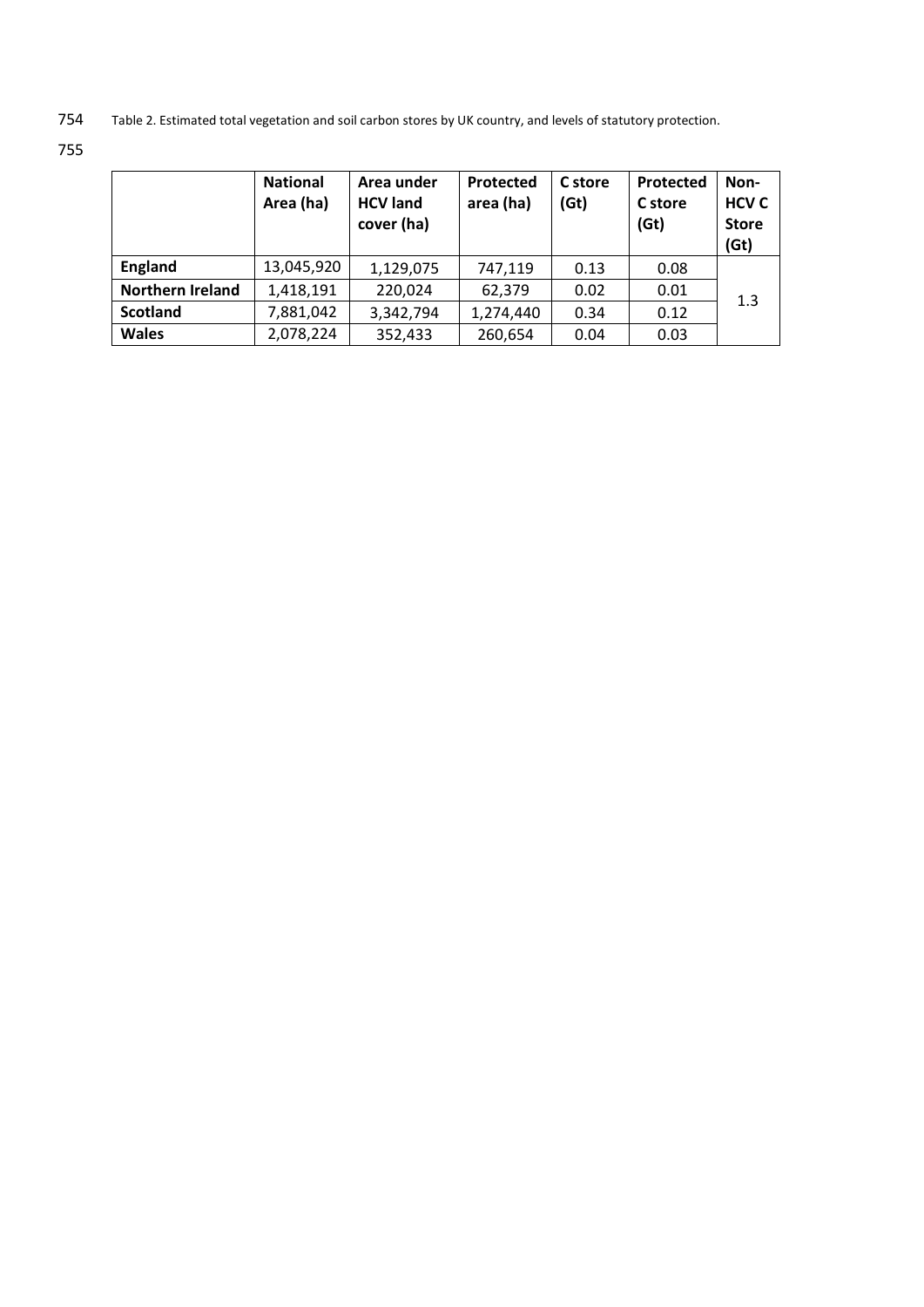754 Table 2. Estimated total vegetation and soil carbon stores by UK country, and levels of statutory protection.

|                         | <b>National</b><br>Area (ha) | Area under<br><b>HCV land</b><br>cover (ha) | Protected<br>area (ha) | C store<br>( <b>fit</b> ) | Protected<br>C store<br>( <b> Git</b> ) | Non-<br><b>HCV C</b><br><b>Store</b><br>( <b>fit</b> ) |
|-------------------------|------------------------------|---------------------------------------------|------------------------|---------------------------|-----------------------------------------|--------------------------------------------------------|
| <b>England</b>          | 13,045,920                   | 1,129,075                                   | 747,119                | 0.13                      | 0.08                                    |                                                        |
| <b>Northern Ireland</b> | 1,418,191                    | 220,024                                     | 62,379                 | 0.02                      | 0.01                                    | 1.3                                                    |
| <b>Scotland</b>         | 7,881,042                    | 3,342,794                                   | 1,274,440              | 0.34                      | 0.12                                    |                                                        |
| <b>Wales</b>            | 2,078,224                    | 352,433                                     | 260,654                | 0.04                      | 0.03                                    |                                                        |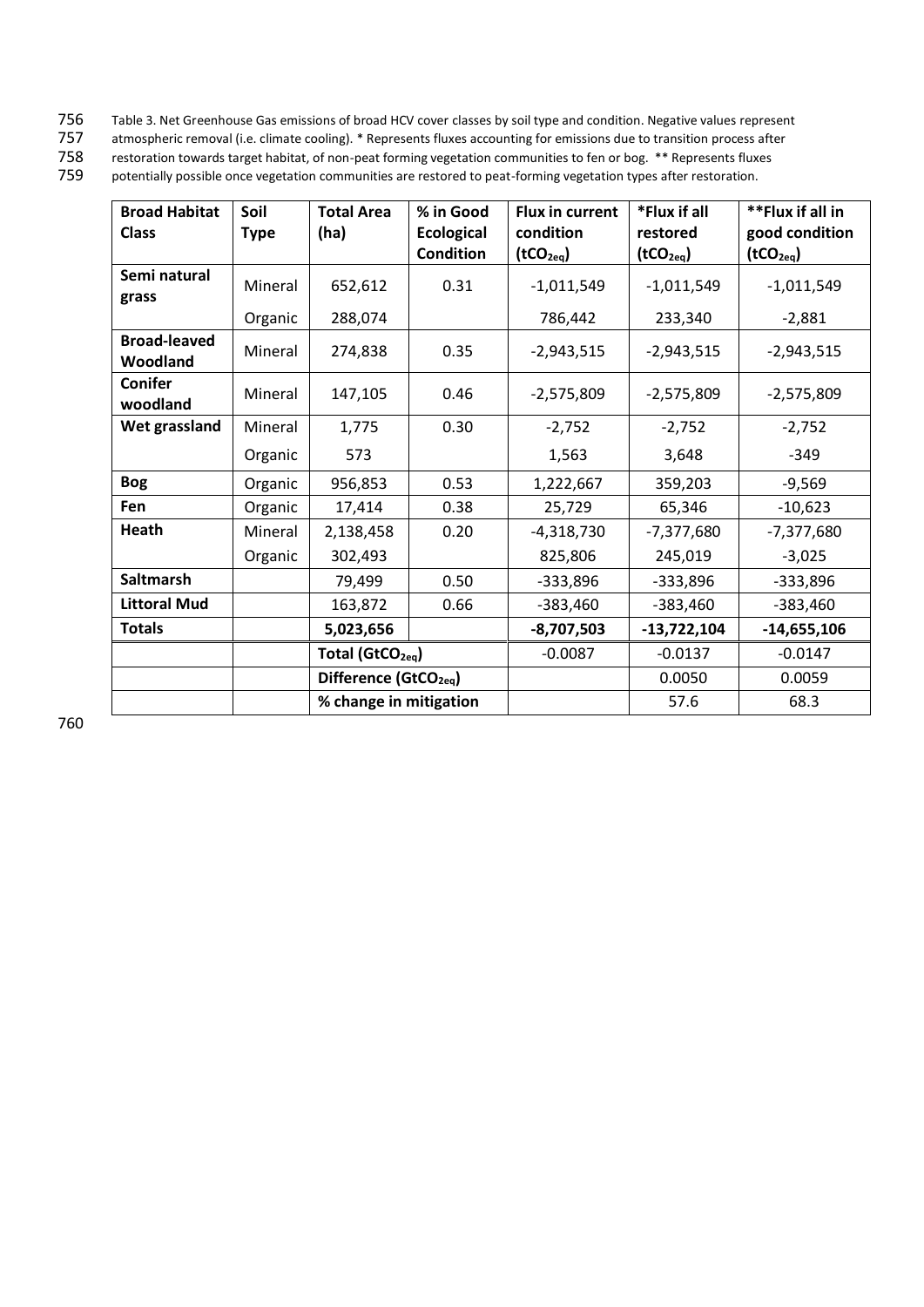- 756 Table 3. Net Greenhouse Gas emissions of broad HCV cover classes by soil type and condition. Negative values represent<br>757 atmospheric removal (i.e. climate cooling). \* Represents fluxes accounting for emissions due to
- 757 atmospheric removal (i.e. climate cooling). \* Represents fluxes accounting for emissions due to transition process after<br>758 restoration towards target habitat, of non-peat forming vegetation communities to fen or bog.

758 restoration towards target habitat, of non-peat forming vegetation communities to fen or bog. \*\* Represents fluxes<br>759 potentially possible once vegetation communities are restored to peat-forming vegetation types afte potentially possible once vegetation communities are restored to peat-forming vegetation types after restoration.

| <b>Broad Habitat</b>            | Soil        | <b>Total Area</b>                 | % in Good         | <b>Flux in current</b> | *Flux if all          | **Flux if all in      |
|---------------------------------|-------------|-----------------------------------|-------------------|------------------------|-----------------------|-----------------------|
| <b>Class</b>                    | <b>Type</b> | (ha)                              | <b>Ecological</b> | condition              | restored              | good condition        |
|                                 |             |                                   | Condition         | (tCO <sub>2eq</sub> )  | (tCO <sub>2eq</sub> ) | (tCO <sub>2eq</sub> ) |
| Semi natural<br>grass           | Mineral     | 652,612                           | 0.31              | $-1,011,549$           | $-1,011,549$          | $-1,011,549$          |
|                                 | Organic     | 288,074                           |                   | 786,442                | 233,340               | $-2,881$              |
| <b>Broad-leaved</b><br>Woodland | Mineral     | 274,838                           | 0.35              | $-2,943,515$           | $-2,943,515$          | $-2,943,515$          |
| <b>Conifer</b><br>woodland      | Mineral     | 147,105                           | 0.46              | $-2,575,809$           | $-2,575,809$          | $-2,575,809$          |
| Wet grassland                   | Mineral     | 1,775                             | 0.30              | $-2,752$               | $-2,752$              | $-2,752$              |
|                                 | Organic     | 573                               |                   | 1,563                  | 3,648                 | $-349$                |
| <b>Bog</b>                      | Organic     | 956,853                           | 0.53              | 1,222,667              | 359,203               | $-9,569$              |
| <b>Fen</b>                      | Organic     | 17,414                            | 0.38              | 25,729                 | 65,346                | $-10,623$             |
| Heath                           | Mineral     | 2,138,458                         | 0.20              | $-4,318,730$           | $-7,377,680$          | $-7,377,680$          |
|                                 | Organic     | 302,493                           |                   | 825,806                | 245,019               | $-3,025$              |
| <b>Saltmarsh</b>                |             | 79,499                            | 0.50              | $-333,896$             | $-333,896$            | $-333,896$            |
| <b>Littoral Mud</b>             |             | 163,872                           | 0.66              | $-383,460$             | $-383,460$            | $-383,460$            |
| <b>Totals</b>                   |             | 5,023,656                         |                   | $-8,707,503$           | $-13,722,104$         | $-14,655,106$         |
|                                 |             | Total (GtCO <sub>2eg</sub> )      |                   | $-0.0087$              | $-0.0137$             | $-0.0147$             |
|                                 |             | Difference (GtCO <sub>2eg</sub> ) |                   |                        | 0.0050                | 0.0059                |
|                                 |             | % change in mitigation            |                   |                        | 57.6                  | 68.3                  |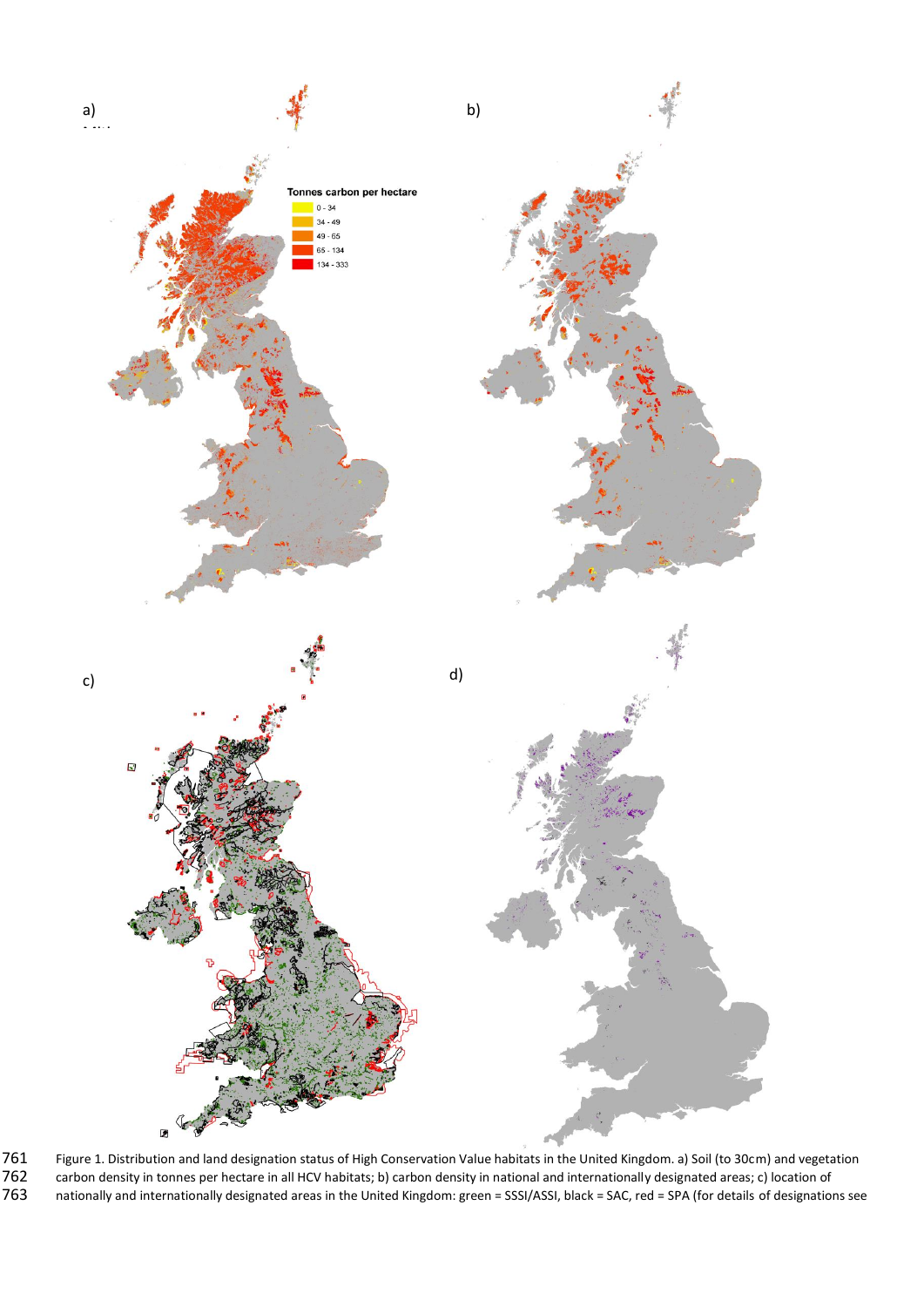

761 Figure 1. Distribution and land designation status of High Conservation Value habitats in the United Kingdom. a) Soil (to 30cm) and vegetation 762 carbon density in tonnes per hectare in all HCV habitats; b) carbon density in national and internationally designated areas; c) location of er The United States of the United Kingdom: green = SSSI/ASSI, black = SAC, red = SPA (for details of designations see